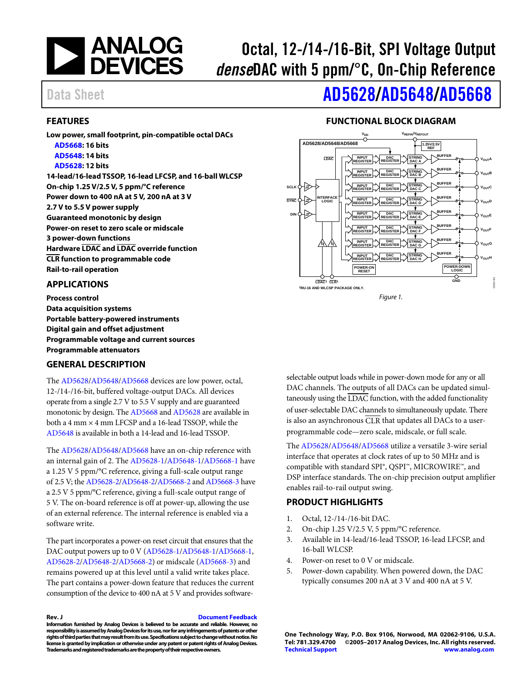

# Octal, 12-/14-/16-Bit, SPI Voltage Output denseDAC with 5 ppm/°C, On-Chip Reference

# Data Sheet **[AD5628](http://www.analog.com/AD5628?doc=AD5628_5648_5668.pdf)[/AD5648/](http://www.analog.com/AD5648?doc=AD5628_5648_5668.pdf)[AD5668](http://www.analog.com/AD5668?doc=AD5628_5648_5668.pdf)**

### <span id="page-0-0"></span>**FEATURES**

**Low power, small footprint, pin-compatible octal DACs [AD5668:](http://www.analog.com/AD5668?doc=AD5628_5648_5668.pdf) 16 bits [AD5648:](http://www.analog.com/AD5648?doc=AD5628_5648_5668.pdf) 14 bits [AD5628:](http://www.analog.com/AD5628?doc=AD5628_5648_5668.pdf) 12 bits 14-lead/16-lead TSSOP, 16-lead LFCSP, and 16-ball WLCSP On-chip 1.25 V/2.5 V, 5 ppm/°C reference Power down to 400 nA at 5 V, 200 nA at 3 V 2.7 V to 5.5 V power supply Guaranteed monotonic by design Power-on reset to zero scale or midscale 3 power-down functions Hardware LDAC and LDAC override function CLR function to programmable code Rail-to-rail operation** 

### <span id="page-0-1"></span>**APPLICATIONS**

**Process control Data acquisition systems Portable battery-powered instruments Digital gain and offset adjustment Programmable voltage and current sources Programmable attenuators** 

### <span id="page-0-3"></span>**GENERAL DESCRIPTION**

The [AD5628/](http://www.analog.com/AD5628?doc=AD5628_5648_5668.pdf)[AD5648/](http://www.analog.com/AD5648?doc=AD5628_5648_5668.pdf)[AD5668 d](http://www.analog.com/AD5668?doc=AD5628_5648_5668.pdf)evices are low power, octal, 12-/14-/16-bit, buffered voltage-output DACs. All devices operate from a single 2.7 V to 5.5 V supply and are guaranteed monotonic by design. Th[e AD5668 a](http://www.analog.com/AD5668?doc=AD5628_5648_5668.pdf)n[d AD5628](http://www.analog.com/AD5628?doc=AD5628_5648_5668.pdf) are available in both a  $4$  mm  $\times$  4 mm LFCSP and a 16-lead TSSOP, while the [AD5648 i](http://www.analog.com/AD5648?doc=AD5628_5648_5668.pdf)s available in both a 14-lead and 16-lead TSSOP.

The [AD5628/](http://www.analog.com/AD5628?doc=AD5628_5648_5668.pdf)[AD5648/](http://www.analog.com/AD5648?doc=AD5628_5648_5668.pdf)[AD5668 h](http://www.analog.com/AD5668?doc=AD5628_5648_5668.pdf)ave an on-chip reference with an internal gain of 2. Th[e AD5628-1](http://www.analog.com/AD5628?doc=AD5628_5648_5668.pdf)[/AD5648-1](http://www.analog.com/AD5648?doc=AD5628_5648_5668.pdf)[/AD5668-1](http://www.analog.com/AD5668?doc=AD5628_5648_5668.pdf) have a 1.25 V 5 ppm/°C reference, giving a full-scale output range of 2.5 V; th[e AD5628-2](http://www.analog.com/AD5628?doc=AD5628_5648_5668.pdf)[/AD5648-2](http://www.analog.com/AD5648?doc=AD5628_5648_5668.pdf)[/AD5668-2 a](http://www.analog.com/AD5668?doc=AD5628_5648_5668.pdf)n[d AD5668-3 h](http://www.analog.com/AD5668?doc=AD5628_5648_5668.pdf)ave a 2.5 V 5 ppm/°C reference, giving a full-scale output range of 5 V. The on-board reference is off at power-up, allowing the use of an external reference. The internal reference is enabled via a software write.

The part incorporates a power-on reset circuit that ensures that the DAC output powers up to 0 V [\(AD5628-1/](http://www.analog.com/AD5628?doc=AD5628_5648_5668.pdf)[AD5648-1/](http://www.analog.com/AD5648?doc=AD5628_5648_5668.pdf)AD5668-1, [AD5628-2/](http://www.analog.com/AD5628?doc=AD5628_5648_5668.pdf)[AD5648-2/](http://www.analog.com/AD5648?doc=AD5628_5648_5668.pdf)[AD5668-2\)](http://www.analog.com/AD5668?doc=AD5628_5648_5668.pdf) or midscale [\(AD5668-3\)](http://www.analog.com/AD5668?doc=AD5628_5648_5668.pdf) and remains powered up at this level until a valid write takes place. The part contains a power-down feature that reduces the current consumption of the device to 400 nA at 5 V and provides software-

**Rev. J [Document Feedback](https://form.analog.com/Form_Pages/feedback/documentfeedback.aspx?doc=AD5628_5648_5668.pdf&product=AD5628%20AD5648%20AD5668&rev=J)** 

**Information furnished by Analog Devices is believed to be accurate and reliable. However, no responsibility is assumed by Analog Devices for its use, nor for any infringements of patents or other rights of third parties that may result from its use. Specifications subject to change without notice. No license is granted by implication or otherwise under any patent or patent rights of Analog Devices. Trademarks and registered trademarks are the property of their respective owners.** 

## **FUNCTIONAL BLOCK DIAGRAM**

<span id="page-0-2"></span>

selectable output loads while in power-down mode for any or all DAC channels. The outputs of all DACs can be updated simultaneously using the LDAC function, with the added functionality of user-selectable DAC channels to simultaneously update. There is also an asynchronous CLR that updates all DACs to a userprogrammable code—zero scale, midscale, or full scale.

The [AD5628/](http://www.analog.com/AD5628?doc=AD5628_5648_5668.pdf)[AD5648/](http://www.analog.com/AD5648?doc=AD5628_5648_5668.pdf)[AD5668 u](http://www.analog.com/AD5668?doc=AD5628_5648_5668.pdf)tilize a versatile 3-wire serial interface that operates at clock rates of up to 50 MHz and is compatible with standard SPI®, QSPI™, MICROWIRE™, and DSP interface standards. The on-chip precision output amplifier enables rail-to-rail output swing.

### <span id="page-0-4"></span>**PRODUCT HIGHLIGHTS**

- 1. Octal, 12-/14-/16-bit DAC.
- 2. On-chip 1.25 V/2.5 V, 5 ppm/°C reference.
- 3. Available in 14-lead/16-lead TSSOP, 16-lead LFCSP, and 16-ball WLCSP.
- 4. Power-on reset to 0 V or midscale.
- 5. Power-down capability. When powered down, the DAC typically consumes 200 nA at 3 V and 400 nA at 5 V.

**One Technology Way, P.O. Box 9106, Norwood, MA 02062-9106, U.S.A. Tel: 781.329.4700 ©2005–2017 Analog Devices, Inc. All rights reserved. [Technical Support](http://www.analog.com/en/content/technical_support_page/fca.html) [www.analog.com](http://www.analog.com/)**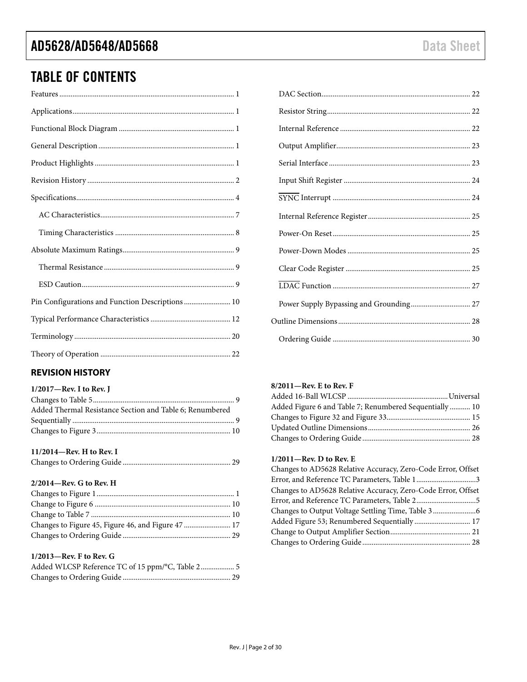# TABLE OF CONTENTS

| Pin Configurations and Function Descriptions  10 |  |
|--------------------------------------------------|--|
|                                                  |  |
|                                                  |  |
|                                                  |  |

### <span id="page-1-0"></span>**REVISION HISTORY**

| $1/2017$ —Rev. I to Rev. J                               |  |
|----------------------------------------------------------|--|
|                                                          |  |
| Added Thermal Resistance Section and Table 6; Renumbered |  |
|                                                          |  |
|                                                          |  |

### **11/2014—Rev. H to Rev. I**

|--|--|

### **2/2014—Rev. G to Rev. H**

| Changes to Figure 45, Figure 46, and Figure 47  17 |  |
|----------------------------------------------------|--|
|                                                    |  |
|                                                    |  |

### **1/2013—Rev. F to Rev. G**

| Added WLCSP Reference TC of 15 ppm/°C, Table 2 5 |  |
|--------------------------------------------------|--|
|                                                  |  |

### **8/2011—Rev. E to Rev. F**

| Added Figure 6 and Table 7; Renumbered Sequentially  10 |  |
|---------------------------------------------------------|--|
|                                                         |  |
|                                                         |  |
|                                                         |  |

#### **1/2011—Rev. D to Rev. E**

| Changes to AD5628 Relative Accuracy, Zero-Code Error, Offset |
|--------------------------------------------------------------|
| Error, and Reference TC Parameters, Table 13                 |
| Changes to AD5628 Relative Accuracy, Zero-Code Error, Offset |
|                                                              |
|                                                              |
| Added Figure 53; Renumbered Sequentially 17                  |
|                                                              |
|                                                              |
|                                                              |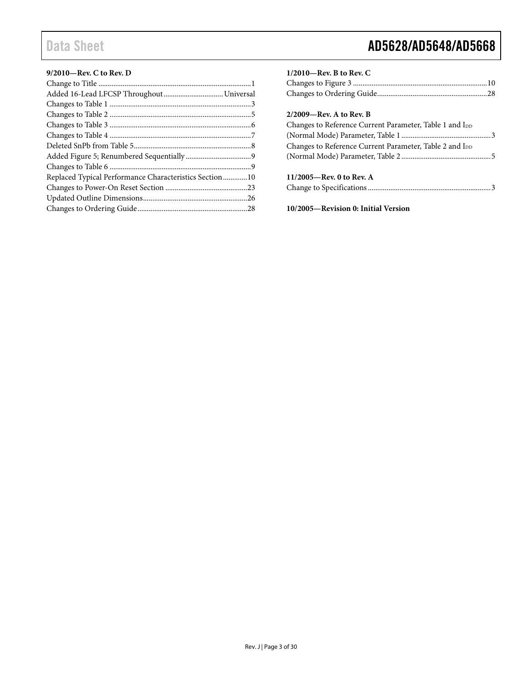#### **9/2010—Rev. C to Rev. D**

| Replaced Typical Performance Characteristics Section10 |  |
|--------------------------------------------------------|--|
|                                                        |  |
|                                                        |  |
|                                                        |  |
|                                                        |  |

### **1/2010—Rev. B to Rev. C**

### **2/2009—Rev. A to Rev. B**

| Changes to Reference Current Parameter, Table 1 and I <sub>DD</sub> |  |
|---------------------------------------------------------------------|--|
|                                                                     |  |
| Changes to Reference Current Parameter, Table 2 and I <sub>DD</sub> |  |
|                                                                     |  |
|                                                                     |  |

### **11/2005—Rev. 0 to Rev. A**

|--|

**10/2005—Revision 0: Initial Version**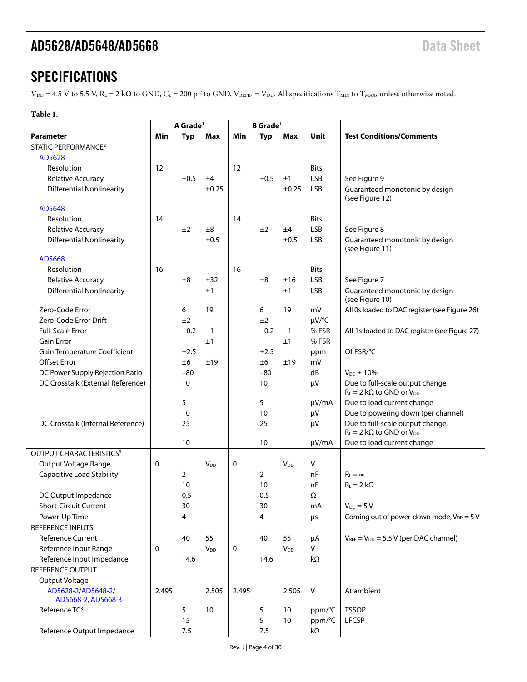# <span id="page-3-2"></span><span id="page-3-0"></span>**SPECIFICATIONS**

 $V_{DD} = 4.5$  V to 5.5 V,  $R_L = 2$  k $\Omega$  to GND,  $C_L = 200$  pF to GND,  $V_{REFIN} = V_{DD}$ . All specifications  $T_{MIN}$  to  $T_{MAX}$ , unless otherwise noted.

### <span id="page-3-1"></span>**Table 1.**

÷,

|                                                 | A Grade <sup>1</sup><br><b>B</b> Grade <sup>1</sup> |            |                        |       |                |                        |             |                                                   |
|-------------------------------------------------|-----------------------------------------------------|------------|------------------------|-------|----------------|------------------------|-------------|---------------------------------------------------|
| <b>Parameter</b>                                | Min                                                 | <b>Typ</b> | Max                    | Min   | <b>Typ</b>     | Max                    | Unit        | <b>Test Conditions/Comments</b>                   |
| <b>STATIC PERFORMANCE<sup>2</sup></b>           |                                                     |            |                        |       |                |                        |             |                                                   |
| AD5628                                          |                                                     |            |                        |       |                |                        |             |                                                   |
| Resolution                                      | 12                                                  |            |                        | 12    |                |                        | <b>Bits</b> |                                                   |
| <b>Relative Accuracy</b>                        |                                                     | ±0.5       | ±4                     |       | $\pm 0.5$      | ±1                     | <b>LSB</b>  | See Figure 9                                      |
| <b>Differential Nonlinearity</b>                |                                                     |            | ±0.25                  |       |                | ±0.25                  | <b>LSB</b>  | Guaranteed monotonic by design                    |
|                                                 |                                                     |            |                        |       |                |                        |             | (see Figure 12)                                   |
| AD5648                                          |                                                     |            |                        |       |                |                        |             |                                                   |
| Resolution                                      | 14                                                  |            |                        | 14    |                |                        | <b>Bits</b> |                                                   |
| Relative Accuracy                               |                                                     | ±2         | ±8                     |       | ±2             | ±4                     | <b>LSB</b>  | See Figure 8                                      |
| <b>Differential Nonlinearity</b>                |                                                     |            | ±0.5                   |       |                | ±0.5                   | <b>LSB</b>  | Guaranteed monotonic by design                    |
|                                                 |                                                     |            |                        |       |                |                        |             | (see Figure 11)                                   |
| AD5668                                          |                                                     |            |                        |       |                |                        |             |                                                   |
| Resolution                                      | 16                                                  |            |                        | 16    |                |                        | <b>Bits</b> |                                                   |
| <b>Relative Accuracy</b>                        |                                                     | ±8         | ±32                    |       | ±8             | ±16                    | <b>LSB</b>  | See Figure 7                                      |
| <b>Differential Nonlinearity</b>                |                                                     |            | ±1                     |       |                | ±1                     | <b>LSB</b>  | Guaranteed monotonic by design<br>(see Figure 10) |
| Zero-Code Error                                 |                                                     | 6          | 19                     |       | 6              | 19                     | mV          | All 0s loaded to DAC register (see Figure 26)     |
| Zero-Code Error Drift                           |                                                     | ±2         |                        |       | ±2             |                        | µV/°C       |                                                   |
| <b>Full-Scale Error</b>                         |                                                     | $-0.2$     | $-1$                   |       | $-0.2$         | $-1$                   | %FSR        | All 1s loaded to DAC register (see Figure 27)     |
| <b>Gain Error</b>                               |                                                     |            | ±1                     |       |                | ±1                     | %FSR        |                                                   |
| <b>Gain Temperature Coefficient</b>             |                                                     | ±2.5       |                        |       | ±2.5           |                        | ppm         | Of FSR/°C                                         |
| <b>Offset Error</b>                             |                                                     | ±6         | ±19                    |       | ±6             | ±19                    | mV          |                                                   |
| DC Power Supply Rejection Ratio                 |                                                     | -80        |                        |       | $-80$          |                        | dB          | $V_{DD} \pm 10\%$                                 |
| DC Crosstalk (External Reference)               |                                                     | 10         |                        |       | 10             |                        | μV          | Due to full-scale output change,                  |
|                                                 |                                                     |            |                        |       |                |                        |             | $R_L = 2 k\Omega$ to GND or $V_{DD}$              |
|                                                 |                                                     | 5          |                        |       | 5              |                        | $\mu V/mA$  | Due to load current change                        |
|                                                 |                                                     | 10         |                        |       | 10             |                        | μV          | Due to powering down (per channel)                |
| DC Crosstalk (Internal Reference)               |                                                     | 25         |                        |       | 25             |                        | μV          | Due to full-scale output change,                  |
|                                                 |                                                     |            |                        |       |                |                        |             | $R_L = 2 k\Omega$ to GND or $V_{DD}$              |
|                                                 |                                                     | 10         |                        |       | 10             |                        | $\mu V/mA$  | Due to load current change                        |
| OUTPUT CHARACTERISTICS <sup>3</sup>             |                                                     |            |                        |       |                |                        |             |                                                   |
| Output Voltage Range                            | 0                                                   |            | V <sub>DD</sub>        | 0     |                | <b>V<sub>DD</sub></b>  | V           |                                                   |
| Capacitive Load Stability                       |                                                     | 2          |                        |       | $\overline{2}$ |                        | nF          | $R_1 = \infty$                                    |
|                                                 |                                                     | 10         |                        |       | 10             |                        | nF          | $R_1 = 2 k\Omega$                                 |
| DC Output Impedance                             |                                                     | 0.5        |                        |       | 0.5            |                        | Ω           |                                                   |
| <b>Short-Circuit Current</b>                    |                                                     | 30         |                        |       | 30             |                        | mA          | $V_{DD} = 5 V$                                    |
| Power-Up Time                                   |                                                     | 4          |                        |       | 4              |                        | μs          | Coming out of power-down mode, $V_{DD} = 5 V$     |
| REFERENCE INPUTS                                |                                                     |            |                        |       |                |                        |             |                                                   |
| Reference Current                               |                                                     | 40         | 55                     |       | 40             | 55                     | μA          | $V_{REF} = V_{DD} = 5.5 V$ (per DAC channel)      |
| Reference Input Range                           | 0                                                   |            | <b>V</b> <sub>DD</sub> | 0     |                | <b>V</b> <sub>DD</sub> | v           |                                                   |
| Reference Input Impedance                       |                                                     | 14.6       |                        |       | 14.6           |                        | kΩ          |                                                   |
| REFERENCE OUTPUT                                |                                                     |            |                        |       |                |                        |             |                                                   |
| Output Voltage                                  |                                                     |            |                        |       |                |                        |             |                                                   |
| AD5628-2/AD5648-2/                              | 2.495                                               |            | 2.505                  | 2.495 |                | 2.505                  | V           | At ambient                                        |
| AD5668-2, AD5668-3<br>Reference TC <sup>3</sup> |                                                     |            | 10                     |       |                |                        | ppm/°C      | <b>TSSOP</b>                                      |
|                                                 |                                                     | 5<br>15    |                        |       | 5<br>5         | 10<br>10               | ppm/°C      | <b>LFCSP</b>                                      |
| Reference Output Impedance                      |                                                     | 7.5        |                        |       | 7.5            |                        | $k\Omega$   |                                                   |
|                                                 |                                                     |            |                        |       |                |                        |             |                                                   |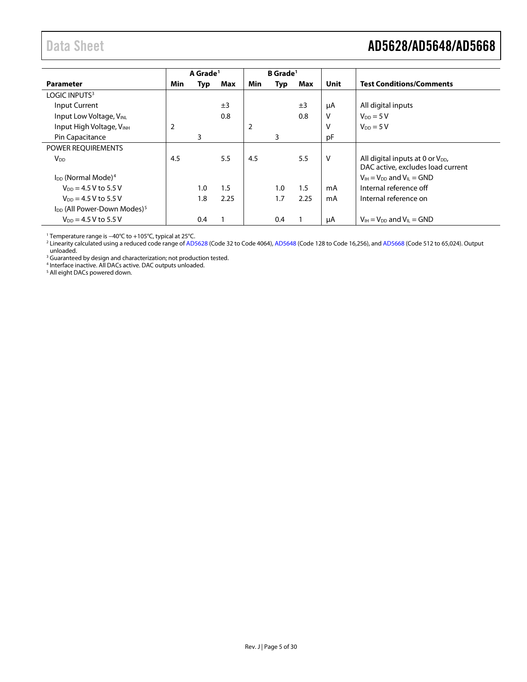<span id="page-4-0"></span>

|                                                     |             | A Grade <sup>1</sup> |     | <b>B</b> Grade <sup>1</sup> |            |      |             |                                                                            |
|-----------------------------------------------------|-------------|----------------------|-----|-----------------------------|------------|------|-------------|----------------------------------------------------------------------------|
| <b>Parameter</b>                                    | Min         | Typ                  | Max | Min                         | <b>Typ</b> | Max  | <b>Unit</b> | <b>Test Conditions/Comments</b>                                            |
| LOGIC INPUTS <sup>3</sup>                           |             |                      |     |                             |            |      |             |                                                                            |
| <b>Input Current</b>                                |             |                      | ±3  |                             |            | ±3   | μA          | All digital inputs                                                         |
| Input Low Voltage, VINL                             |             |                      | 0.8 |                             |            | 0.8  | V           | $V_{DD} = 5V$                                                              |
| Input High Voltage, VINH                            | 2           |                      |     | $\overline{2}$              |            |      | V           | $V_{DD} = 5V$                                                              |
| Pin Capacitance                                     |             | 3                    |     |                             | 3          |      | рF          |                                                                            |
| POWER REQUIREMENTS                                  |             |                      |     |                             |            |      |             |                                                                            |
| V <sub>DD</sub>                                     | 4.5         |                      | 5.5 | 4.5                         |            | 5.5  | V           | All digital inputs at 0 or $V_{DD}$ ,<br>DAC active, excludes load current |
| $I_{DD}$ (Normal Mode) <sup>4</sup>                 |             |                      |     |                             |            |      |             | $V_{H} = V_{DD}$ and $V_{H} = GND$                                         |
| $V_{DD} = 4.5 V$ to 5.5 V                           |             | 1.0                  | 1.5 |                             | 1.0        | 1.5  | mA          | Internal reference off                                                     |
| $V_{DD} = 4.5 V$ to 5.5 V                           | 2.25<br>1.8 |                      |     |                             | 1.7        | 2.25 | mA          | Internal reference on                                                      |
| I <sub>DD</sub> (All Power-Down Modes) <sup>5</sup> |             |                      |     |                             |            |      |             |                                                                            |
| $V_{DD} = 4.5 V$ to 5.5 V                           |             | 0.4                  |     |                             | 0.4        |      | μA          | $V_{IH} = V_{DD}$ and $V_{IL} = GND$                                       |

<sup>1</sup> Temperature range is −40°C to +105°C, typical at 25°C.

<sup>2</sup> Linearity calculated using a reduced code range o[f AD5628](http://www.analog.com/AD5628?doc=AD5628_5648_5668.pdf) (Code 32 to Code 4064)[, AD5648](http://www.analog.com/AD5648?doc=AD5628_5648_5668.pdf) (Code 128 to Code 16,256), an[d AD5668](http://www.analog.com/AD5668?doc=AD5628_5648_5668.pdf) (Code 512 to 65,024). Output unloaded.

<sup>3</sup> Guaranteed by design and characterization; not production tested.

<sup>4</sup> Interface inactive. All DACs active. DAC outputs unloaded.

<sup>5</sup> All eight DACs powered down.

l,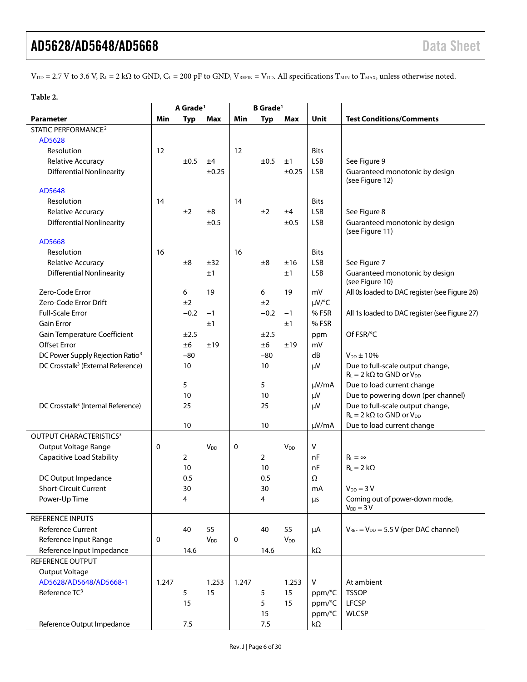$V_{DD} = 2.7$  V to 3.6 V,  $R_L = 2$  k $\Omega$  to GND,  $C_L = 200$  pF to GND,  $V_{REFIN} = V_{DD}$ . All specifications  $T_{MIN}$  to  $T_{MAX}$ , unless otherwise noted.

#### **Table 2.**

|                                                | A Grade <sup>1</sup> |                | <b>B</b> Grade <sup>1</sup> |       |                |                        |             |                                                                            |
|------------------------------------------------|----------------------|----------------|-----------------------------|-------|----------------|------------------------|-------------|----------------------------------------------------------------------------|
| Parameter                                      | Min                  | <b>Typ</b>     | Max                         | Min   | <b>Typ</b>     | Max                    | <b>Unit</b> | <b>Test Conditions/Comments</b>                                            |
| STATIC PERFORMANCE <sup>2</sup>                |                      |                |                             |       |                |                        |             |                                                                            |
| AD5628                                         |                      |                |                             |       |                |                        |             |                                                                            |
| Resolution                                     | 12                   |                |                             | 12    |                |                        | <b>Bits</b> |                                                                            |
| <b>Relative Accuracy</b>                       |                      | ±0.5           | ±4                          |       | ±0.5           | ±1                     | <b>LSB</b>  | See Figure 9                                                               |
| <b>Differential Nonlinearity</b>               |                      |                | ±0.25                       |       |                | ±0.25                  | <b>LSB</b>  | Guaranteed monotonic by design                                             |
|                                                |                      |                |                             |       |                |                        |             | (see Figure 12)                                                            |
| AD5648                                         |                      |                |                             |       |                |                        |             |                                                                            |
| Resolution                                     | 14                   |                |                             | 14    |                |                        | <b>Bits</b> |                                                                            |
| <b>Relative Accuracy</b>                       |                      | ±2             | ±8                          |       | ±2             | ±4                     | <b>LSB</b>  | See Figure 8                                                               |
| <b>Differential Nonlinearity</b>               |                      |                | ±0.5                        |       |                | ±0.5                   | <b>LSB</b>  | Guaranteed monotonic by design<br>(see Figure 11)                          |
| AD5668                                         |                      |                |                             |       |                |                        |             |                                                                            |
| Resolution                                     | 16                   |                |                             | 16    |                |                        | <b>Bits</b> |                                                                            |
| <b>Relative Accuracy</b>                       |                      | ±8             | ±32                         |       | ±8             | ±16                    | <b>LSB</b>  | See Figure 7                                                               |
| <b>Differential Nonlinearity</b>               |                      |                | ±1                          |       |                | ±1                     | <b>LSB</b>  | Guaranteed monotonic by design                                             |
|                                                |                      |                |                             |       |                |                        |             | (see Figure 10)                                                            |
| Zero-Code Error                                |                      | 6              | 19                          |       | 6              | 19                     | mV          | All 0s loaded to DAC register (see Figure 26)                              |
| Zero-Code Error Drift                          |                      | ±2             |                             |       | ±2             |                        | µV/°C       |                                                                            |
| <b>Full-Scale Error</b>                        |                      | $-0.2$         | $-1$                        |       | $-0.2$         | $-1$                   | %FSR        | All 1s loaded to DAC register (see Figure 27)                              |
| <b>Gain Error</b>                              |                      |                | ±1                          |       |                | ±1                     | %FSR        |                                                                            |
| <b>Gain Temperature Coefficient</b>            |                      | ±2.5           |                             |       | ±2.5           |                        | ppm         | Of FSR/°C                                                                  |
| <b>Offset Error</b>                            |                      | ±6             | ±19                         |       | ±6             | ±19                    | mV          |                                                                            |
| DC Power Supply Rejection Ratio <sup>3</sup>   |                      | $-80$          |                             |       | -80            |                        | dB          | $V_{DD}$ ± 10%                                                             |
| DC Crosstalk <sup>3</sup> (External Reference) |                      | 10             |                             |       | 10             |                        | μV          | Due to full-scale output change,                                           |
|                                                |                      |                |                             |       |                |                        |             | $R_L = 2 k\Omega$ to GND or $V_{DD}$                                       |
|                                                |                      | 5              |                             |       | 5              |                        | $\mu V/mA$  | Due to load current change                                                 |
|                                                |                      | 10             |                             |       | 10             |                        | μV          | Due to powering down (per channel)                                         |
| DC Crosstalk <sup>3</sup> (Internal Reference) |                      | 25             |                             |       | 25             |                        | μV          | Due to full-scale output change,<br>$R_{L} = 2 k\Omega$ to GND or $V_{DD}$ |
|                                                |                      | 10             |                             |       | 10             |                        | $\mu V/mA$  | Due to load current change                                                 |
| OUTPUT CHARACTERISTICS <sup>3</sup>            |                      |                |                             |       |                |                        |             |                                                                            |
| Output Voltage Range                           | 0                    |                | <b>V</b> <sub>DD</sub>      | 0     |                | $V_{DD}$               | V           |                                                                            |
| <b>Capacitive Load Stability</b>               |                      | $\overline{2}$ |                             |       | $\overline{2}$ |                        | nF          | $R_L = \infty$                                                             |
|                                                |                      | 10             |                             |       | 10             |                        | nF          | $R_L = 2 k\Omega$                                                          |
| DC Output Impedance                            |                      | 0.5            |                             |       | 0.5            |                        | Ω           |                                                                            |
| <b>Short-Circuit Current</b>                   |                      | 30             |                             |       | 30             |                        | mA          | $V_{DD} = 3 V$                                                             |
| Power-Up Time                                  |                      | 4              |                             |       | 4              |                        | μs          | Coming out of power-down mode,                                             |
|                                                |                      |                |                             |       |                |                        |             | $V_{DD} = 3 V$                                                             |
| <b>REFERENCE INPUTS</b>                        |                      |                |                             |       |                |                        |             |                                                                            |
| Reference Current                              |                      | 40             | 55                          |       | 40             | 55                     | μA          | $V_{REF} = V_{DD} = 5.5 V$ (per DAC channel)                               |
| Reference Input Range                          | 0                    |                | <b>V</b> <sub>DD</sub>      | 0     |                | <b>V</b> <sub>DD</sub> |             |                                                                            |
| Reference Input Impedance                      |                      | 14.6           |                             |       | 14.6           |                        | kΩ          |                                                                            |
| REFERENCE OUTPUT                               |                      |                |                             |       |                |                        |             |                                                                            |
| Output Voltage                                 |                      |                |                             |       |                |                        |             |                                                                            |
| AD5628/AD5648/AD5668-1                         | 1.247                |                | 1.253                       | 1.247 |                | 1.253                  | V           | At ambient                                                                 |
| Reference TC <sup>3</sup>                      |                      | 5              | 15                          |       | 5              | 15                     | ppm/°C      | <b>TSSOP</b>                                                               |
|                                                |                      | 15             |                             |       | 5              | 15                     | ppm/°C      | <b>LFCSP</b>                                                               |
|                                                |                      |                |                             |       | 15             |                        | ppm/°C      | <b>WLCSP</b>                                                               |
| Reference Output Impedance                     |                      | 7.5            |                             |       | 7.5            |                        | kΩ          |                                                                            |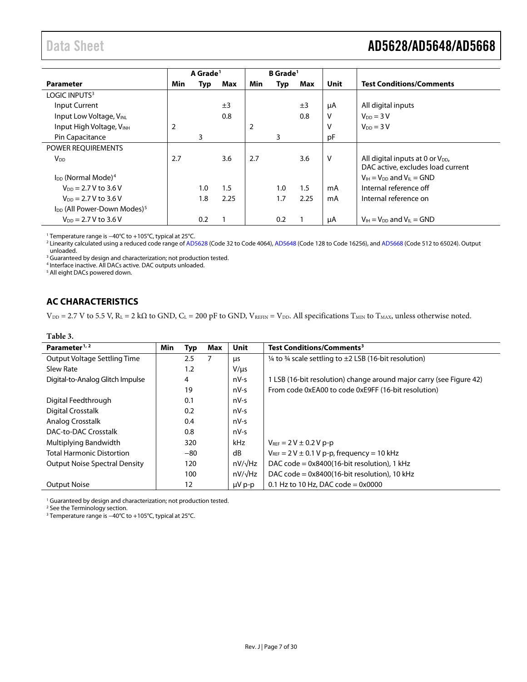<span id="page-6-1"></span>

|                                                     |     | A Grade <sup>1</sup> |      |                | B Grade <sup>1</sup> |      |              |                                                                            |
|-----------------------------------------------------|-----|----------------------|------|----------------|----------------------|------|--------------|----------------------------------------------------------------------------|
| <b>Parameter</b>                                    | Min | Typ                  | Max  | <b>Min</b>     | Typ                  | Max  | <b>Unit</b>  | <b>Test Conditions/Comments</b>                                            |
| LOGIC INPUTS <sup>3</sup>                           |     |                      |      |                |                      |      |              |                                                                            |
| Input Current                                       |     |                      | ±3   |                |                      | ±3   | μA           | All digital inputs                                                         |
| Input Low Voltage, VINL                             |     |                      | 0.8  |                |                      | 0.8  | v            | $V_{DD} = 3 V$                                                             |
| Input High Voltage, VINH                            | 2   |                      |      | $\overline{2}$ |                      |      | v            | $V_{DD} = 3V$                                                              |
| Pin Capacitance                                     |     | 3                    |      |                | 3                    |      | pF           |                                                                            |
| POWER REQUIREMENTS                                  |     |                      |      |                |                      |      |              |                                                                            |
| <b>V</b> <sub>DD</sub>                              | 2.7 |                      | 3.6  | 2.7            |                      | 3.6  | $\mathsf{V}$ | All digital inputs at 0 or $V_{DD}$ ,<br>DAC active, excludes load current |
| $I_{DD}$ (Normal Mode) <sup>4</sup>                 |     |                      |      |                |                      |      |              | $V_{IH} = V_{DD}$ and $V_{IL} = GND$                                       |
| $V_{DD} = 2.7 V$ to 3.6 V                           |     | 1.0                  | 1.5  |                | 1.0                  | 1.5  | mA           | Internal reference off                                                     |
| $V_{DD} = 2.7 V$ to 3.6 V                           |     | 1.8                  | 2.25 |                | 1.7                  | 2.25 | mA           | Internal reference on                                                      |
| I <sub>DD</sub> (All Power-Down Modes) <sup>5</sup> |     |                      |      |                |                      |      |              |                                                                            |
| $V_{DD} = 2.7 V$ to 3.6 V                           |     | 0.2                  |      |                | 0.2                  | 1    | μA           | $V_{H} = V_{DD}$ and $V_{II} = GND$                                        |

<sup>1</sup> Temperature range is −40°C to +105°C, typical at 25°C.

<sup>2</sup> Linearity calculated using a reduced code range o[f AD5628](http://www.analog.com/AD5628?doc=AD5628_5648_5668.pdf) (Code 32 to Code 4064)[, AD5648](http://www.analog.com/AD5648?doc=AD5628_5648_5668.pdf) (Code 128 to Code 16256), an[d AD5668](http://www.analog.com/AD5668?doc=AD5628_5648_5668.pdf) (Code 512 to 65024). Output unloaded.

<sup>3</sup> Guaranteed by design and characterization; not production tested.

<sup>4</sup> Interface inactive. All DACs active. DAC outputs unloaded.

<sup>5</sup> All eight DACs powered down.

### <span id="page-6-0"></span>**AC CHARACTERISTICS**

 $V_{DD}$  = 2.7 V to 5.5 V, R<sub>L</sub> = 2 kΩ to GND, C<sub>L</sub> = 200 pF to GND, V<sub>REFIN</sub> = V<sub>DD</sub>. All specifications T<sub>MIN</sub> to T<sub>MAX</sub>, unless otherwise noted.

| Table 3.                             |            |            |            |                |                                                                                  |
|--------------------------------------|------------|------------|------------|----------------|----------------------------------------------------------------------------------|
| Parameter <sup>1, 2</sup>            | <b>Min</b> | <b>Typ</b> | <b>Max</b> | <b>Unit</b>    | Test Conditions/Comments <sup>3</sup>                                            |
| Output Voltage Settling Time         |            | 2.5        | 7          | μs             | $\frac{1}{4}$ to $\frac{3}{4}$ scale settling to $\pm$ 2 LSB (16-bit resolution) |
| Slew Rate                            |            | 1.2        |            | $V/\mu s$      |                                                                                  |
| Digital-to-Analog Glitch Impulse     |            | 4          |            | $nV-S$         | 1 LSB (16-bit resolution) change around major carry (see Figure 42)              |
|                                      |            | 19         |            | $nV-S$         | From code 0xEA00 to code 0xE9FF (16-bit resolution)                              |
| Digital Feedthrough                  |            | 0.1        |            | nV-s           |                                                                                  |
| Digital Crosstalk                    |            | 0.2        |            | $nV-S$         |                                                                                  |
| <b>Analog Crosstalk</b>              |            | 0.4        |            | $nV-S$         |                                                                                  |
| DAC-to-DAC Crosstalk                 |            | 0.8        |            | nV-s           |                                                                                  |
| Multiplying Bandwidth                |            | 320        |            | kHz            | $V_{REF} = 2 V \pm 0.2 V p-p$                                                    |
| <b>Total Harmonic Distortion</b>     |            | $-80$      |            | dB             | $V_{REF}$ = 2 V $\pm$ 0.1 V p-p, frequency = 10 kHz                              |
| <b>Output Noise Spectral Density</b> |            | 120        |            | $nV/\sqrt{Hz}$ | DAC code = $0x8400(16-bit$ resolution), 1 kHz                                    |
|                                      |            | 100        |            | $nV/\sqrt{Hz}$ | DAC code = 0x8400(16-bit resolution), 10 kHz                                     |
| <b>Output Noise</b>                  |            | 12         |            | $\mu V$ p-p    | 0.1 Hz to 10 Hz, DAC code = $0x0000$                                             |
|                                      |            |            |            |                |                                                                                  |

<sup>1</sup> Guaranteed by design and characterization; not production tested.

<sup>2</sup> See th[e Terminology](#page-19-0) section.

<sup>3</sup> Temperature range is −40°C to +105°C, typical at 25°C.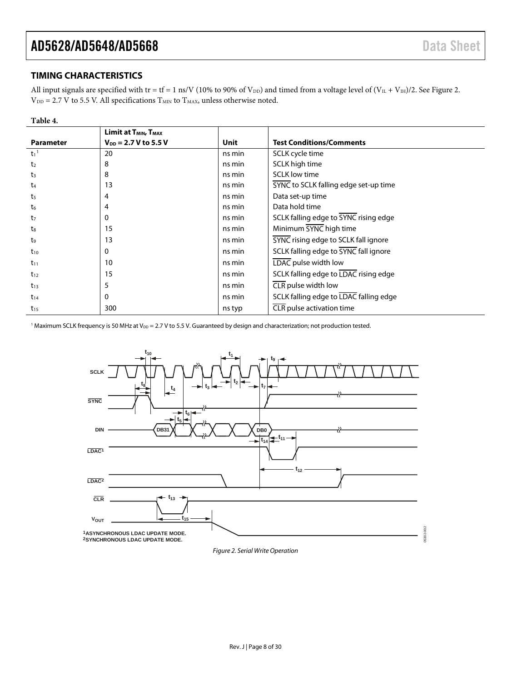### <span id="page-7-0"></span>**TIMING CHARACTERISTICS**

All input signals are specified with tr = tf = 1 ns/V (10% to 90% of  $V_{DD}$ ) and timed from a voltage level of ( $V_{IL} + V_{IH}$ )/2. Se[e Figure 2.](#page-7-1)  $V_{DD}$  = 2.7 V to 5.5 V. All specifications  $T_{MIN}$  to  $T_{MAX}$ , unless otherwise noted.

#### **Table 4.**

|                   | Limit at $T_{MIN}$ , $T_{MAX}$ |             |                                             |
|-------------------|--------------------------------|-------------|---------------------------------------------|
| <b>Parameter</b>  | $V_{DD}$ = 2.7 V to 5.5 V      | <b>Unit</b> | <b>Test Conditions/Comments</b>             |
| $t1$ <sup>1</sup> | 20                             | ns min      | SCLK cycle time                             |
| t <sub>2</sub>    | 8                              | ns min      | SCLK high time                              |
| t <sub>3</sub>    | 8                              | ns min      | <b>SCLK</b> low time                        |
| t <sub>4</sub>    | 13                             | ns min      | SYNC to SCLK falling edge set-up time       |
| t <sub>5</sub>    | 4                              | ns min      | Data set-up time                            |
| $t_{6}$           | 4                              | ns min      | Data hold time                              |
| t7                | 0                              | ns min      | SCLK falling edge to SYNC rising edge       |
| $t_8$             | 15                             | ns min      | Minimum SYNC high time                      |
| t9                | 13                             | ns min      | <b>SYNC</b> rising edge to SCLK fall ignore |
| $t_{10}$          | 0                              | ns min      | SCLK falling edge to SYNC fall ignore       |
| $t_{11}$          | 10                             | ns min      | LDAC pulse width low                        |
| $t_{12}$          | 15                             | ns min      | SCLK falling edge to LDAC rising edge       |
| $t_{13}$          | 5                              | ns min      | CLR pulse width low                         |
| $t_{14}$          | 0                              | ns min      | SCLK falling edge to LDAC falling edge      |
| $t_{15}$          | 300                            | ns typ      | CLR pulse activation time                   |

<sup>1</sup> Maximum SCLK frequency is 50 MHz at V<sub>DD</sub> = 2.7 V to 5.5 V. Guaranteed by design and characterization; not production tested.



#### <span id="page-7-1"></span>*Figure 2. Serial Write Operation*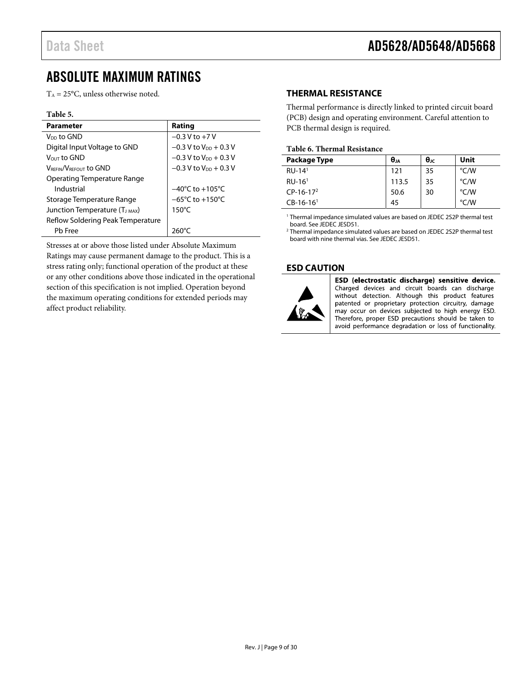# <span id="page-8-0"></span>ABSOLUTE MAXIMUM RATINGS

 $T_A = 25$ °C, unless otherwise noted.

#### **Table 5.**

| <b>Parameter</b>                           | Rating                              |
|--------------------------------------------|-------------------------------------|
| V <sub>DD</sub> to GND                     | $-0.3 V$ to $+7 V$                  |
| Digital Input Voltage to GND               | $-0.3$ V to V <sub>DD</sub> + 0.3 V |
| $V_{OUT}$ to GND                           | $-0.3$ V to $V_{DD}$ + 0.3 V        |
| <b>VREEIN/VREEQUIT TO GND</b>              | $-0.3$ V to V <sub>DD</sub> + 0.3 V |
| <b>Operating Temperature Range</b>         |                                     |
| Industrial                                 | $-40^{\circ}$ C to $+105^{\circ}$ C |
| Storage Temperature Range                  | $-65^{\circ}$ C to $+150^{\circ}$ C |
| Junction Temperature (T <sub>J MAX</sub> ) | $150^{\circ}$ C                     |
| Reflow Soldering Peak Temperature          |                                     |
| Pb Free                                    | $260^{\circ}$ C                     |

Stresses at or above those listed under Absolute Maximum Ratings may cause permanent damage to the product. This is a stress rating only; functional operation of the product at these or any other conditions above those indicated in the operational section of this specification is not implied. Operation beyond the maximum operating conditions for extended periods may affect product reliability.

### <span id="page-8-1"></span>**THERMAL RESISTANCE**

Thermal performance is directly linked to printed circuit board (PCB) design and operating environment. Careful attention to PCB thermal design is required.

#### **Table 6. Thermal Resistance**

| Package Type            | θja   | $\theta_{\text{JC}}$ | Unit |
|-------------------------|-------|----------------------|------|
| $RU-14$ <sup>1</sup>    | 121   | 35                   | °C/W |
| $RU-161$                | 113.5 | 35                   | °C/W |
| $CP-16-17^2$            | 50.6  | 30                   | °C/W |
| $CB-16-16$ <sup>1</sup> | 45    |                      | °C/W |

1 Thermal impedance simulated values are based on JEDEC 2S2P thermal test board. See JEDEC JESD51.

2 Thermal impedance simulated values are based on JEDEC 2S2P thermal test board with nine thermal vias. See JEDEC JESD51.

### <span id="page-8-2"></span>**ESD CAUTION**



ESD (electrostatic discharge) sensitive device. Charged devices and circuit boards can discharge without detection. Although this product features patented or proprietary protection circuitry, damage may occur on devices subjected to high energy ESD. Therefore, proper ESD precautions should be taken to avoid performance degradation or loss of functionality.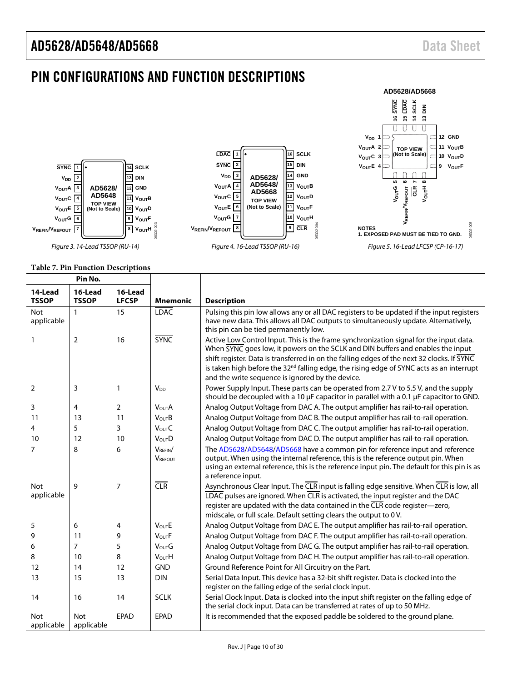# <span id="page-9-0"></span>PIN CONFIGURATIONS AND FUNCTION DESCRIPTIONS



#### **Table 7. Pin Function Descriptions**

| Pin No.                  |                         |                         |                                      |                                                                                                                                                                                                                                                                                                                                                                                                                                           |
|--------------------------|-------------------------|-------------------------|--------------------------------------|-------------------------------------------------------------------------------------------------------------------------------------------------------------------------------------------------------------------------------------------------------------------------------------------------------------------------------------------------------------------------------------------------------------------------------------------|
| 14-Lead<br><b>TSSOP</b>  | 16-Lead<br><b>TSSOP</b> | 16-Lead<br><b>LFCSP</b> | <b>Mnemonic</b>                      | <b>Description</b>                                                                                                                                                                                                                                                                                                                                                                                                                        |
| <b>Not</b><br>applicable | $\mathbf{1}$            | 15                      | <b>LDAC</b>                          | Pulsing this pin low allows any or all DAC registers to be updated if the input registers<br>have new data. This allows all DAC outputs to simultaneously update. Alternatively,<br>this pin can be tied permanently low.                                                                                                                                                                                                                 |
| $\mathbf{1}$             | $\overline{2}$          | 16                      | <b>SYNC</b>                          | Active Low Control Input. This is the frame synchronization signal for the input data.<br>When SYNC goes low, it powers on the SCLK and DIN buffers and enables the input<br>shift register. Data is transferred in on the falling edges of the next 32 clocks. If SYNC<br>is taken high before the $32^{nd}$ falling edge, the rising edge of $\overline{SYNC}$ acts as an interrupt<br>and the write sequence is ignored by the device. |
| 2                        | 3                       | $\mathbf{1}$            | <b>V<sub>DD</sub></b>                | Power Supply Input. These parts can be operated from 2.7 V to 5.5 V, and the supply<br>should be decoupled with a 10 $\mu$ F capacitor in parallel with a 0.1 $\mu$ F capacitor to GND.                                                                                                                                                                                                                                                   |
| 3                        | 4                       | $\overline{2}$          | <b>VOUTA</b>                         | Analog Output Voltage from DAC A. The output amplifier has rail-to-rail operation.                                                                                                                                                                                                                                                                                                                                                        |
| 11                       | 13                      | 11                      | <b>VourB</b>                         | Analog Output Voltage from DAC B. The output amplifier has rail-to-rail operation.                                                                                                                                                                                                                                                                                                                                                        |
| 4                        | 5                       | 3                       | <b>VoutC</b>                         | Analog Output Voltage from DAC C. The output amplifier has rail-to-rail operation.                                                                                                                                                                                                                                                                                                                                                        |
| 10                       | 12                      | 10                      | <b>VOUTD</b>                         | Analog Output Voltage from DAC D. The output amplifier has rail-to-rail operation.                                                                                                                                                                                                                                                                                                                                                        |
| $\overline{7}$           | 8                       | 6                       | V <sub>RFFIN</sub><br><b>VREFOUT</b> | The AD5628/AD5648/AD5668 have a common pin for reference input and reference<br>output. When using the internal reference, this is the reference output pin. When<br>using an external reference, this is the reference input pin. The default for this pin is as<br>a reference input.                                                                                                                                                   |
| <b>Not</b><br>applicable | 9                       | 7                       | CLR                                  | Asynchronous Clear Input. The CLR input is falling edge sensitive. When CLR is low, all<br>LDAC pulses are ignored. When CLR is activated, the input register and the DAC<br>register are updated with the data contained in the $\overline{\text{CLR}}$ code register-zero,<br>midscale, or full scale. Default setting clears the output to 0V.                                                                                         |
| 5                        | 6                       | 4                       | <b>VoutE</b>                         | Analog Output Voltage from DAC E. The output amplifier has rail-to-rail operation.                                                                                                                                                                                                                                                                                                                                                        |
| 9                        | 11                      | 9                       | <b>VourF</b>                         | Analog Output Voltage from DAC F. The output amplifier has rail-to-rail operation.                                                                                                                                                                                                                                                                                                                                                        |
| 6                        | $\overline{7}$          | 5                       | $V_{\text{OUT}}G$                    | Analog Output Voltage from DAC G. The output amplifier has rail-to-rail operation.                                                                                                                                                                                                                                                                                                                                                        |
| 8                        | 10                      | 8                       | VoutH                                | Analog Output Voltage from DAC H. The output amplifier has rail-to-rail operation.                                                                                                                                                                                                                                                                                                                                                        |
| 12                       | 14                      | 12                      | <b>GND</b>                           | Ground Reference Point for All Circuitry on the Part.                                                                                                                                                                                                                                                                                                                                                                                     |
| 13                       | 15                      | 13                      | <b>DIN</b>                           | Serial Data Input. This device has a 32-bit shift register. Data is clocked into the<br>register on the falling edge of the serial clock input.                                                                                                                                                                                                                                                                                           |
| 14                       | 16                      | 14                      | <b>SCLK</b>                          | Serial Clock Input. Data is clocked into the input shift register on the falling edge of<br>the serial clock input. Data can be transferred at rates of up to 50 MHz.                                                                                                                                                                                                                                                                     |
| Not<br>applicable        | Not<br>applicable       | EPAD                    | <b>EPAD</b>                          | It is recommended that the exposed paddle be soldered to the ground plane.                                                                                                                                                                                                                                                                                                                                                                |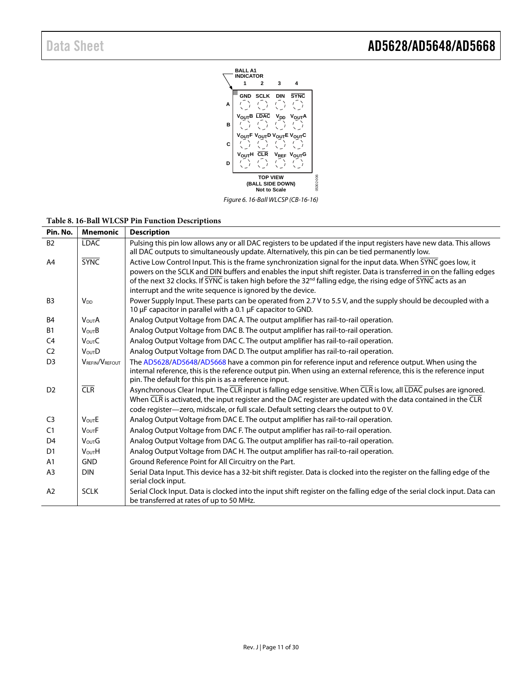

Figure 6. 16-Ball WLCSP (CB-16-16)

#### **Table 8. 16-Ball WLCSP Pin Function Descriptions**

| Pin. No.       | <b>Mnemonic</b>       | <b>Description</b>                                                                                                                                                                                                                                                                                                         |
|----------------|-----------------------|----------------------------------------------------------------------------------------------------------------------------------------------------------------------------------------------------------------------------------------------------------------------------------------------------------------------------|
| <b>B2</b>      | <b>LDAC</b>           | Pulsing this pin low allows any or all DAC registers to be updated if the input registers have new data. This allows<br>all DAC outputs to simultaneously update. Alternatively, this pin can be tied permanently low.                                                                                                     |
| A4             | <b>SYNC</b>           | Active Low Control Input. This is the frame synchronization signal for the input data. When SYNC goes low, it                                                                                                                                                                                                              |
|                |                       | powers on the SCLK and DIN buffers and enables the input shift register. Data is transferred in on the falling edges<br>of the next 32 clocks. If SYNC is taken high before the 32 <sup>nd</sup> falling edge, the rising edge of SYNC acts as an<br>interrupt and the write sequence is ignored by the device.            |
| B <sub>3</sub> | <b>V<sub>DD</sub></b> | Power Supply Input. These parts can be operated from 2.7 V to 5.5 V, and the supply should be decoupled with a<br>10 µF capacitor in parallel with a 0.1 µF capacitor to GND.                                                                                                                                              |
| B <sub>4</sub> | <b>VOUTA</b>          | Analog Output Voltage from DAC A. The output amplifier has rail-to-rail operation.                                                                                                                                                                                                                                         |
| <b>B1</b>      | <b>VOUTB</b>          | Analog Output Voltage from DAC B. The output amplifier has rail-to-rail operation.                                                                                                                                                                                                                                         |
| C <sub>4</sub> | <b>VOUTC</b>          | Analog Output Voltage from DAC C. The output amplifier has rail-to-rail operation.                                                                                                                                                                                                                                         |
| C <sub>2</sub> | <b>VourD</b>          | Analog Output Voltage from DAC D. The output amplifier has rail-to-rail operation.                                                                                                                                                                                                                                         |
| D <sub>3</sub> | <b>VREFIN/VREFOUT</b> | The AD5628/AD5648/AD5668 have a common pin for reference input and reference output. When using the<br>internal reference, this is the reference output pin. When using an external reference, this is the reference input<br>pin. The default for this pin is as a reference input.                                       |
| D <sub>2</sub> | CLR                   | Asynchronous Clear Input. The CLR input is falling edge sensitive. When CLR is low, all LDAC pulses are ignored.<br>When CLR is activated, the input register and the DAC register are updated with the data contained in the CLR<br>code register-zero, midscale, or full scale. Default setting clears the output to 0V. |
| C <sub>3</sub> | <b>VoutE</b>          | Analog Output Voltage from DAC E. The output amplifier has rail-to-rail operation.                                                                                                                                                                                                                                         |
| C1             | $V_{\text{OUT}}F$     | Analog Output Voltage from DAC F. The output amplifier has rail-to-rail operation.                                                                                                                                                                                                                                         |
| D <sub>4</sub> | <b>VourG</b>          | Analog Output Voltage from DAC G. The output amplifier has rail-to-rail operation.                                                                                                                                                                                                                                         |
| D <sub>1</sub> | <b>VOUTH</b>          | Analog Output Voltage from DAC H. The output amplifier has rail-to-rail operation.                                                                                                                                                                                                                                         |
| A1             | <b>GND</b>            | Ground Reference Point for All Circuitry on the Part.                                                                                                                                                                                                                                                                      |
| A <sub>3</sub> | <b>DIN</b>            | Serial Data Input. This device has a 32-bit shift register. Data is clocked into the register on the falling edge of the<br>serial clock input.                                                                                                                                                                            |
| A2             | <b>SCLK</b>           | Serial Clock Input. Data is clocked into the input shift register on the falling edge of the serial clock input. Data can<br>be transferred at rates of up to 50 MHz.                                                                                                                                                      |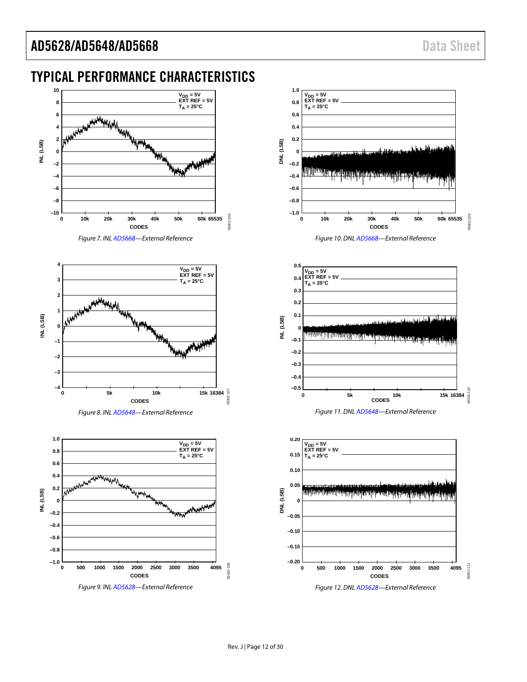# <span id="page-11-0"></span>TYPICAL PERFORMANCE CHARACTERISTICS



<span id="page-11-5"></span>

<span id="page-11-4"></span><span id="page-11-2"></span>*Figure 8. IN[L AD5648—](http://www.analog.com/AD5648?doc=AD5628_5648_5668.pdf)External Reference*

<span id="page-11-3"></span><span id="page-11-1"></span>

<span id="page-11-6"></span>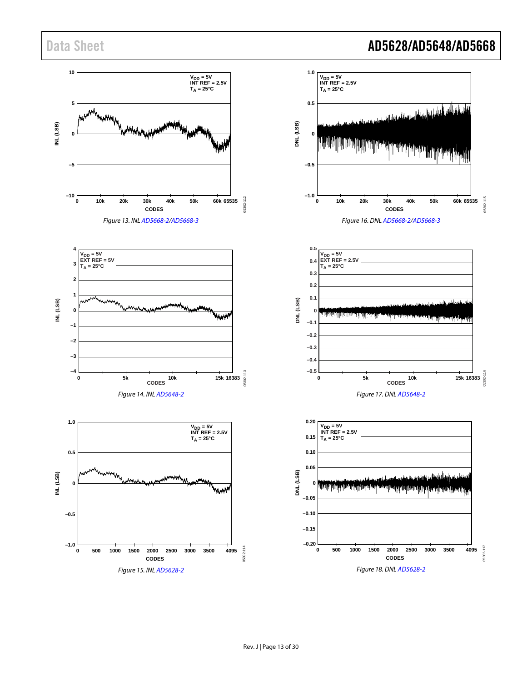<span id="page-12-3"></span><span id="page-12-2"></span><span id="page-12-1"></span><span id="page-12-0"></span>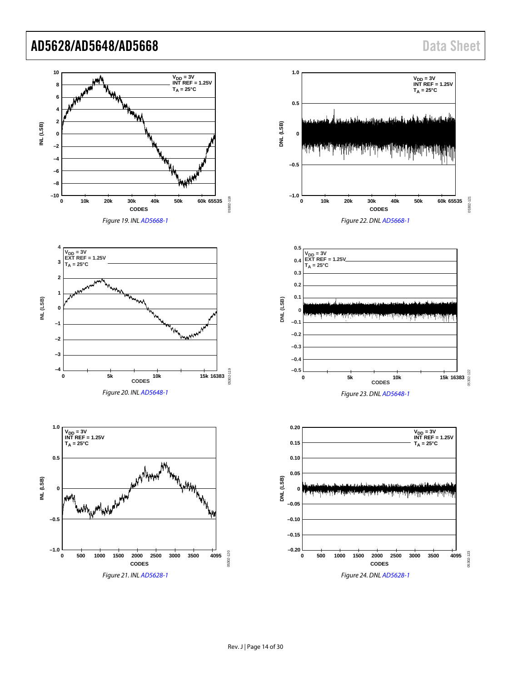<span id="page-13-3"></span><span id="page-13-2"></span><span id="page-13-1"></span><span id="page-13-0"></span>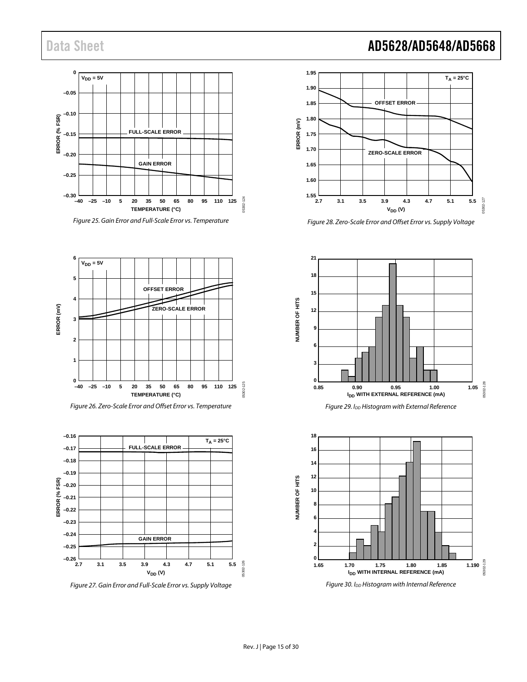

<span id="page-14-3"></span>

<span id="page-14-0"></span>



<span id="page-14-1"></span>*Figure 27. Gain Error and Full-Scale Error vs. Supply Voltage*



<span id="page-14-2"></span>*Figure 28. Zero-Scale Error and Offset Error vs. Supply Voltage*



*Figure 29. IDD Histogram with External Reference*



*Figure 30. IDD Histogram with Internal Reference*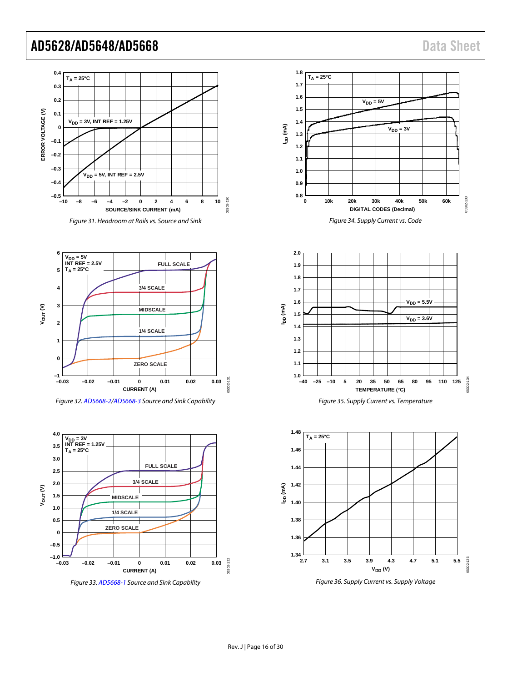



<span id="page-15-0"></span>*Figure 32[. AD5668-2/AD5668-3](http://www.analog.com/AD5668?doc=AD5628_5648_5668.pdf) Source and Sink Capability*



<span id="page-15-1"></span>*Figure 33[. AD5668-1](http://www.analog.com/AD5668?doc=AD5628_5648_5668.pdf) Source and Sink Capability*









*Figure 36. Supply Current vs. Supply Voltage*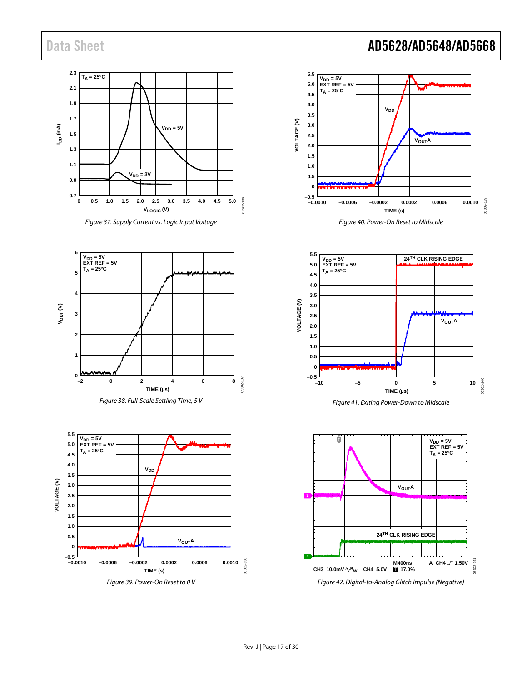















<span id="page-16-1"></span><span id="page-16-0"></span>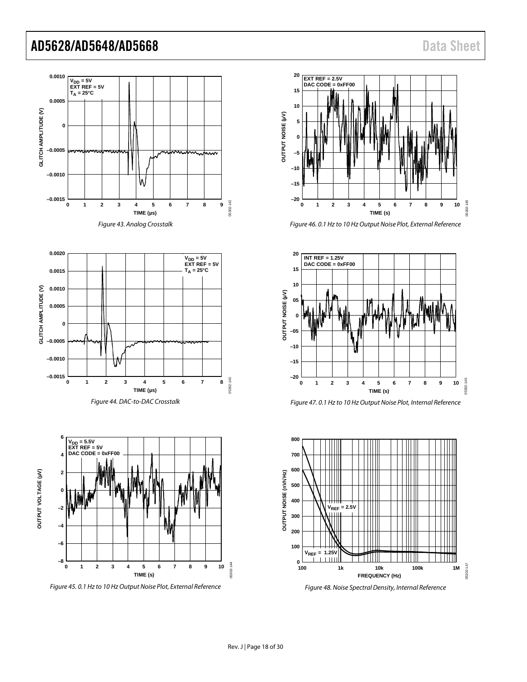







*Figure 45. 0.1 Hz to 10 Hz Output Noise Plot, External Reference*



*Figure 46. 0.1 Hz to 10 Hz Output Noise Plot, External Reference*







*Figure 48. Noise Spectral Density, Internal Reference*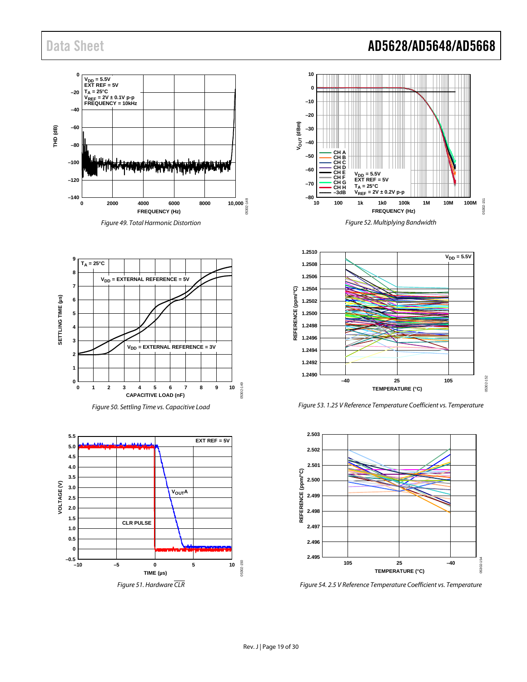







<span id="page-18-0"></span>





*Figure 53. 1.25 V Reference Temperature Coefficient vs. Temperature*



*Figure 54. 2.5 V Reference Temperature Coefficient vs. Temperature*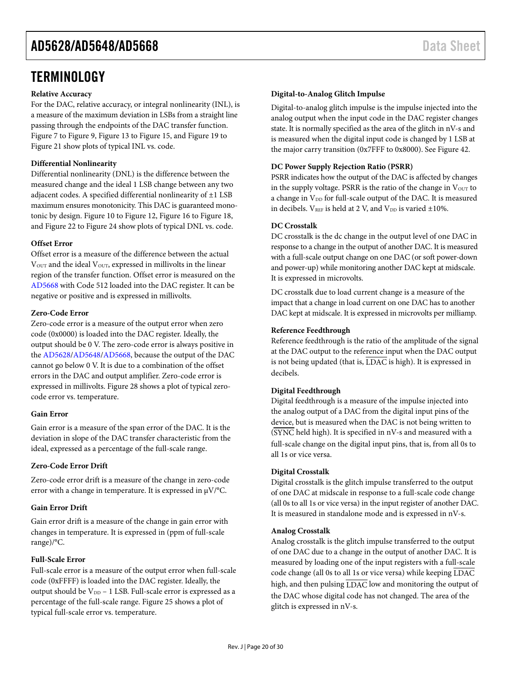#### <span id="page-19-0"></span>**Relative Accuracy**

For the DAC, relative accuracy, or integral nonlinearity (INL), is a measure of the maximum deviation in LSBs from a straight line passing through the endpoints of the DAC transfer function. [Figure 7](#page-11-5) to [Figure 9,](#page-11-1) [Figure 13](#page-12-0) to [Figure 15,](#page-12-1) an[d Figure 19](#page-13-0) to [Figure 21](#page-13-1) show plots of typical INL vs. code.

#### **Differential Nonlinearity**

Differential nonlinearity (DNL) is the difference between the measured change and the ideal 1 LSB change between any two adjacent codes. A specified differential nonlinearity of ±1 LSB maximum ensures monotonicity. This DAC is guaranteed monotonic by design[. Figure 10](#page-11-6) to [Figure 12,](#page-11-2) [Figure 16](#page-12-2) to [Figure 18,](#page-12-3)  an[d Figure 22](#page-13-2) to [Figure 24](#page-13-3) show plots of typical DNL vs. code.

#### **Offset Error**

Offset error is a measure of the difference between the actual  $V<sub>OUT</sub>$  and the ideal  $V<sub>OUT</sub>$ , expressed in millivolts in the linear region of the transfer function. Offset error is measured on the [AD5668](http://www.analog.com/AD5668?doc=AD5628_5648_5668.pdf) with Code 512 loaded into the DAC register. It can be negative or positive and is expressed in millivolts.

#### **Zero-Code Error**

Zero-code error is a measure of the output error when zero code (0x0000) is loaded into the DAC register. Ideally, the output should be 0 V. The zero-code error is always positive in the [AD5628](http://www.analog.com/AD5628?doc=AD5628_5648_5668.pdf)[/AD5648/](http://www.analog.com/AD5648?doc=AD5628_5648_5668.pdf)[AD5668,](http://www.analog.com/AD5668?doc=AD5628_5648_5668.pdf) because the output of the DAC cannot go below 0 V. It is due to a combination of the offset errors in the DAC and output amplifier. Zero-code error is expressed in millivolts[. Figure 28](#page-14-2) shows a plot of typical zerocode error vs. temperature.

#### **Gain Error**

Gain error is a measure of the span error of the DAC. It is the deviation in slope of the DAC transfer characteristic from the ideal, expressed as a percentage of the full-scale range.

#### **Zero-Code Error Drift**

Zero-code error drift is a measure of the change in zero-code error with a change in temperature. It is expressed in  $\mu$ V/°C.

### **Gain Error Drift**

Gain error drift is a measure of the change in gain error with changes in temperature. It is expressed in (ppm of full-scale range)/°C.

#### **Full-Scale Error**

Full-scale error is a measure of the output error when full-scale code (0xFFFF) is loaded into the DAC register. Ideally, the output should be  $V_{DD}$  – 1 LSB. Full-scale error is expressed as a percentage of the full-scale range[. Figure 25](#page-14-3) shows a plot of typical full-scale error vs. temperature.

### **Digital-to-Analog Glitch Impulse**

Digital-to-analog glitch impulse is the impulse injected into the analog output when the input code in the DAC register changes state. It is normally specified as the area of the glitch in nV-s and is measured when the digital input code is changed by 1 LSB at the major carry transition (0x7FFF to 0x8000). See [Figure 42.](#page-16-0)

#### **DC Power Supply Rejection Ratio (PSRR)**

PSRR indicates how the output of the DAC is affected by changes in the supply voltage. PSRR is the ratio of the change in  $V_{\text{OUT}}$  to a change in V<sub>DD</sub> for full-scale output of the DAC. It is measured in decibels.  $V_{REF}$  is held at 2 V, and  $V_{DD}$  is varied  $\pm 10\%$ .

#### **DC Crosstalk**

DC crosstalk is the dc change in the output level of one DAC in response to a change in the output of another DAC. It is measured with a full-scale output change on one DAC (or soft power-down and power-up) while monitoring another DAC kept at midscale. It is expressed in microvolts.

DC crosstalk due to load current change is a measure of the impact that a change in load current on one DAC has to another DAC kept at midscale. It is expressed in microvolts per milliamp.

#### **Reference Feedthrough**

Reference feedthrough is the ratio of the amplitude of the signal at the DAC output to the reference input when the DAC output is not being updated (that is,  $\overline{\text{LDAC}}$  is high). It is expressed in decibels.

#### **Digital Feedthrough**

Digital feedthrough is a measure of the impulse injected into the analog output of a DAC from the digital input pins of the device, but is measured when the DAC is not being written to (SYNC held high). It is specified in nV-s and measured with a full-scale change on the digital input pins, that is, from all 0s to all 1s or vice versa.

#### **Digital Crosstalk**

Digital crosstalk is the glitch impulse transferred to the output of one DAC at midscale in response to a full-scale code change (all 0s to all 1s or vice versa) in the input register of another DAC. It is measured in standalone mode and is expressed in nV-s.

#### **Analog Crosstalk**

Analog crosstalk is the glitch impulse transferred to the output of one DAC due to a change in the output of another DAC. It is measured by loading one of the input registers with a full-scale code change (all 0s to all 1s or vice versa) while keeping LDAC high, and then pulsing LDAC low and monitoring the output of the DAC whose digital code has not changed. The area of the glitch is expressed in nV-s.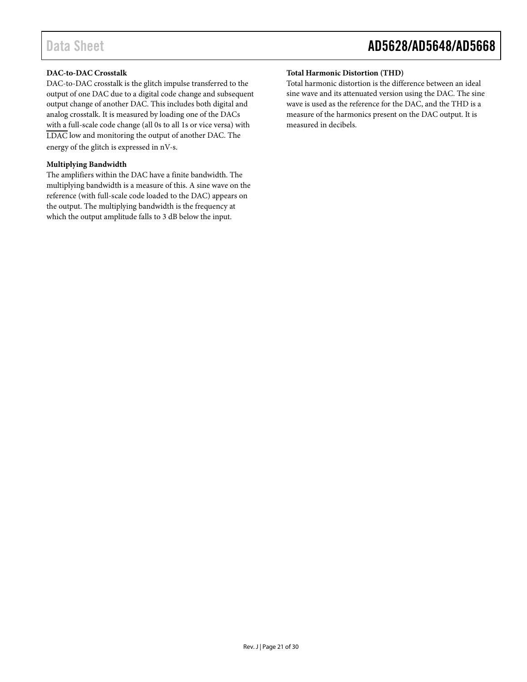### **DAC-to-DAC Crosstalk**

DAC-to-DAC crosstalk is the glitch impulse transferred to the output of one DAC due to a digital code change and subsequent output change of another DAC. This includes both digital and analog crosstalk. It is measured by loading one of the DACs with a full-scale code change (all 0s to all 1s or vice versa) with LDAC low and monitoring the output of another DAC. The energy of the glitch is expressed in nV-s.

#### **Multiplying Bandwidth**

The amplifiers within the DAC have a finite bandwidth. The multiplying bandwidth is a measure of this. A sine wave on the reference (with full-scale code loaded to the DAC) appears on the output. The multiplying bandwidth is the frequency at which the output amplitude falls to 3 dB below the input.

# Data Sheet **AD5628/AD5648/AD5668**

#### **Total Harmonic Distortion (THD)**

Total harmonic distortion is the difference between an ideal sine wave and its attenuated version using the DAC. The sine wave is used as the reference for the DAC, and the THD is a measure of the harmonics present on the DAC output. It is measured in decibels.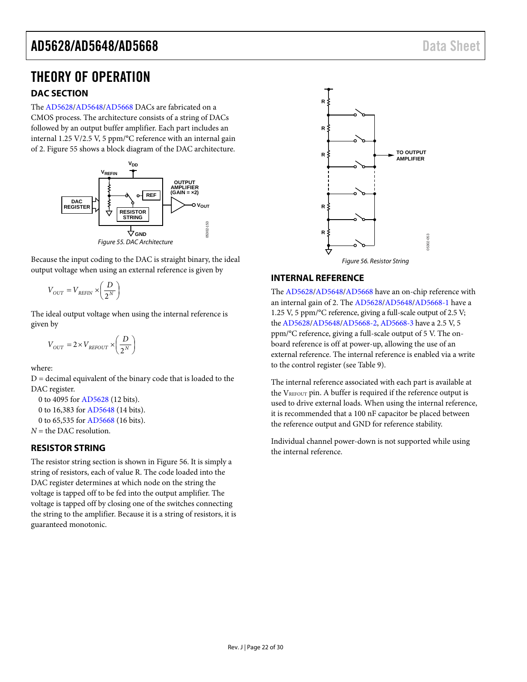# <span id="page-21-0"></span>THEORY OF OPERATION

### <span id="page-21-1"></span>**DAC SECTION**

The [AD5628/](http://www.analog.com/AD5628?doc=AD5628_5648_5668.pdf)[AD5648/](http://www.analog.com/AD5648?doc=AD5628_5648_5668.pdf)[AD5668 D](http://www.analog.com/AD5668?doc=AD5628_5648_5668.pdf)ACs are fabricated on a CMOS process. The architecture consists of a string of DACs followed by an output buffer amplifier. Each part includes an internal 1.25 V/2.5 V, 5 ppm/°C reference with an internal gain of 2[. Figure 55](#page-21-4) shows a block diagram of the DAC architecture.



<span id="page-21-4"></span>Because the input coding to the DAC is straight binary, the ideal

output voltage when using an external reference is given by

$$
V_{OUT} = V_{REFIN} \times \left(\frac{D}{2^N}\right)
$$

The ideal output voltage when using the internal reference is given by

$$
V_{OUT}=2\times V_{REFOUT}\times\left(\frac{D}{2^{N}}\right)
$$

where:

 $D =$  decimal equivalent of the binary code that is loaded to the DAC register.

0 to 4095 fo[r AD5628 \(](http://www.analog.com/AD5628?doc=AD5628_5648_5668.pdf)12 bits).

0 to 16,383 fo[r AD5648](http://www.analog.com/AD5648?doc=AD5628_5648_5668.pdf) (14 bits).

```
 0 to 65,535 for AD5668 (16 bits).
```
*N* = the DAC resolution.

### <span id="page-21-2"></span>**RESISTOR STRING**

The resistor string section is shown in [Figure 56.](#page-21-5) It is simply a string of resistors, each of value R. The code loaded into the DAC register determines at which node on the string the voltage is tapped off to be fed into the output amplifier. The voltage is tapped off by closing one of the switches connecting the string to the amplifier. Because it is a string of resistors, it is guaranteed monotonic.



### <span id="page-21-5"></span><span id="page-21-3"></span>**INTERNAL REFERENCE**

The [AD5628/](http://www.analog.com/AD5628?doc=AD5628_5648_5668.pdf)[AD5648/](http://www.analog.com/AD5648?doc=AD5628_5648_5668.pdf)[AD5668 h](http://www.analog.com/AD5668?doc=AD5628_5648_5668.pdf)ave an on-chip reference with an internal gain of 2. Th[e AD5628/](http://www.analog.com/AD5628?doc=AD5628_5648_5668.pdf)[AD5648](http://www.analog.com/AD5648?doc=AD5628_5648_5668.pdf)[/AD5668-1](http://www.analog.com/AD5668?doc=AD5628_5648_5668.pdf) have a 1.25 V, 5 ppm/°C reference, giving a full-scale output of 2.5 V; th[e AD5628/](http://www.analog.com/AD5628?doc=AD5628_5648_5668.pdf)[AD5648/](http://www.analog.com/AD5648?doc=AD5628_5648_5668.pdf)[AD5668-2, AD5668-3 h](http://www.analog.com/AD5668?doc=AD5628_5648_5668.pdf)ave a 2.5 V, 5 ppm/°C reference, giving a full-scale output of 5 V. The onboard reference is off at power-up, allowing the use of an external reference. The internal reference is enabled via a write to the control register (see [Table 9\)](#page-22-2).

The internal reference associated with each part is available at the VREFOUT pin. A buffer is required if the reference output is used to drive external loads. When using the internal reference, it is recommended that a 100 nF capacitor be placed between the reference output and GND for reference stability.

Individual channel power-down is not supported while using the internal reference.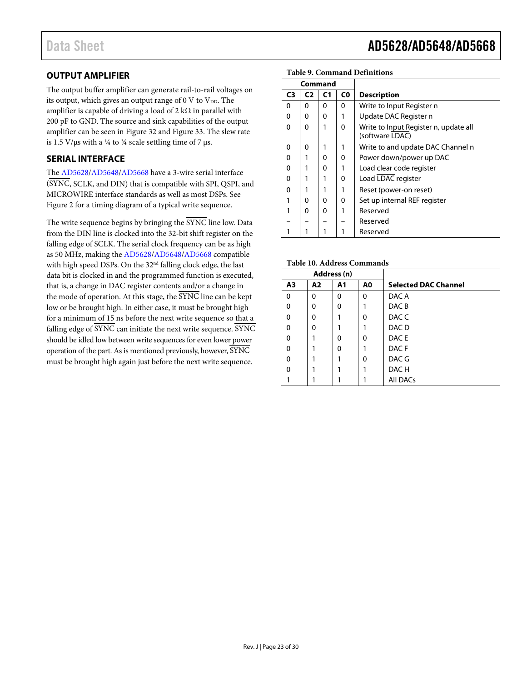### <span id="page-22-0"></span>**OUTPUT AMPLIFIER**

The output buffer amplifier can generate rail-to-rail voltages on its output, which gives an output range of  $0 \text{ V}$  to  $V_{DD}$ . The amplifier is capable of driving a load of 2 k $\Omega$  in parallel with 200 pF to GND. The source and sink capabilities of the output amplifier can be seen i[n Figure 32](#page-15-0) an[d Figure 33.](#page-15-1) The slew rate is 1.5 V/ $\mu$ s with a ¼ to ¾ scale settling time of 7  $\mu$ s.

### <span id="page-22-1"></span>**SERIAL INTERFACE**

The [AD5628](http://www.analog.com/AD5628?doc=AD5628_5648_5668.pdf)[/AD5648/](http://www.analog.com/AD5648?doc=AD5628_5648_5668.pdf)[AD5668](http://www.analog.com/AD5668?doc=AD5628_5648_5668.pdf) have a 3-wire serial interface (SYNC, SCLK, and DIN) that is compatible with SPI, QSPI, and MICROWIRE interface standards as well as most DSPs. See [Figure 2](#page-7-1) for a timing diagram of a typical write sequence.

The write sequence begins by bringing the SYNC line low. Data from the DIN line is clocked into the 32-bit shift register on the falling edge of SCLK. The serial clock frequency can be as high as 50 MHz, making the [AD5628](http://www.analog.com/AD5628?doc=AD5628_5648_5668.pdf)[/AD5648](http://www.analog.com/AD5648?doc=AD5628_5648_5668.pdf)[/AD5668](http://www.analog.com/AD5668?doc=AD5628_5648_5668.pdf) compatible with high speed DSPs. On the 32nd falling clock edge, the last data bit is clocked in and the programmed function is executed, that is, a change in DAC register contents and/or a change in the mode of operation. At this stage, the SYNC line can be kept low or be brought high. In either case, it must be brought high for a minimum of 15 ns before the next write sequence so that a falling edge of  $\overline{\text{SYNC}}$  can initiate the next write sequence. SYNC should be idled low between write sequences for even lower power operation of the part. As is mentioned previously, however, SYNC must be brought high again just before the next write sequence.

## Data Sheet **AD5628/AD5648/AD5668**

|    | Command        |                |    |                                                          |  |
|----|----------------|----------------|----|----------------------------------------------------------|--|
| C3 | C <sub>2</sub> | C <sub>1</sub> | C0 | <b>Description</b>                                       |  |
| 0  | $\Omega$       | 0              | 0  | Write to Input Register n                                |  |
| 0  | 0              | 0              |    | Update DAC Register n                                    |  |
| 0  | $\Omega$       |                | 0  | Write to Input Register n, update all<br>(software LDAC) |  |
| 0  | 0              |                |    | Write to and update DAC Channel n                        |  |
| 0  |                | ŋ              | 0  | Power down/power up DAC                                  |  |
| 0  |                | ŋ              |    | Load clear code register                                 |  |
| 0  |                |                | 0  | Load LDAC register                                       |  |
| 0  |                |                |    | Reset (power-on reset)                                   |  |
|    | 0              | 0              | 0  | Set up internal REF register                             |  |
|    | O              | O              |    | Reserved                                                 |  |
|    |                |                |    | Reserved                                                 |  |
|    |                |                |    | Reserved                                                 |  |

#### <span id="page-22-2"></span>**Table 9. Command Definitions**

#### <span id="page-22-3"></span>**Table 10. Address Commands**

|                |          | Address (n)    |    |                             |
|----------------|----------|----------------|----|-----------------------------|
| A <sub>3</sub> | A2       | A <sub>1</sub> | A0 | <b>Selected DAC Channel</b> |
| $\Omega$       | $\Omega$ | 0              | 0  | DAC A                       |
| O              | 0        | 0              | 1  | DAC <sub>B</sub>            |
| 0              | 0        | 1              | 0  | DAC C                       |
| O              | 0        |                | 1  | DAC D                       |
| $\Omega$       |          | 0              | 0  | DAC E                       |
| O              |          | 0              | 1  | DAC F                       |
| O              |          |                | 0  | DAC G                       |
| ŋ              |          |                | 1  | DAC H                       |
|                |          |                |    | All DACs                    |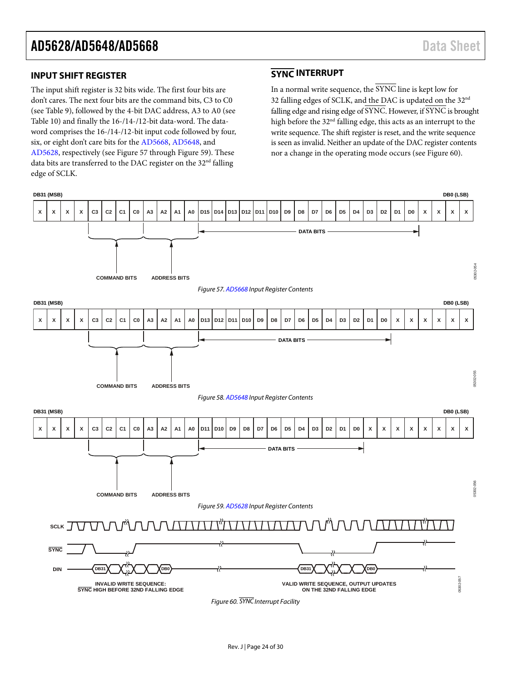### <span id="page-23-0"></span>**INPUT SHIFT REGISTER**

The input shift register is 32 bits wide. The first four bits are don't cares. The next four bits are the command bits, C3 to C0 (see [Table 9\)](#page-22-2), followed by the 4-bit DAC address, A3 to A0 (see [Table 10\)](#page-22-3) and finally the 16-/14-/12-bit data-word. The dataword comprises the 16-/14-/12-bit input code followed by four, six, or eight don't care bits for the [AD5668,](http://www.analog.com/AD5668?doc=AD5628_5648_5668.pdf) [AD5648,](http://www.analog.com/AD5648?doc=AD5628_5648_5668.pdf) and [AD5628,](http://www.analog.com/AD5628?doc=AD5628_5648_5668.pdf) respectively (see [Figure 57](#page-23-2) throug[h Figure 59\)](#page-23-3). These data bits are transferred to the DAC register on the 32<sup>nd</sup> falling edge of SCLK.

### <span id="page-23-1"></span>**SYNC INTERRUPT**

In a normal write sequence, the  $\overline{\text{SYNC}}$  line is kept low for 32 falling edges of SCLK, and the DAC is updated on the 32nd falling edge and rising edge of SYNC. However, if SYNC is brought high before the 32<sup>nd</sup> falling edge, this acts as an interrupt to the write sequence. The shift register is reset, and the write sequence is seen as invalid. Neither an update of the DAC register contents nor a change in the operating mode occurs (se[e Figure 60\)](#page-23-4).

<span id="page-23-4"></span><span id="page-23-3"></span><span id="page-23-2"></span>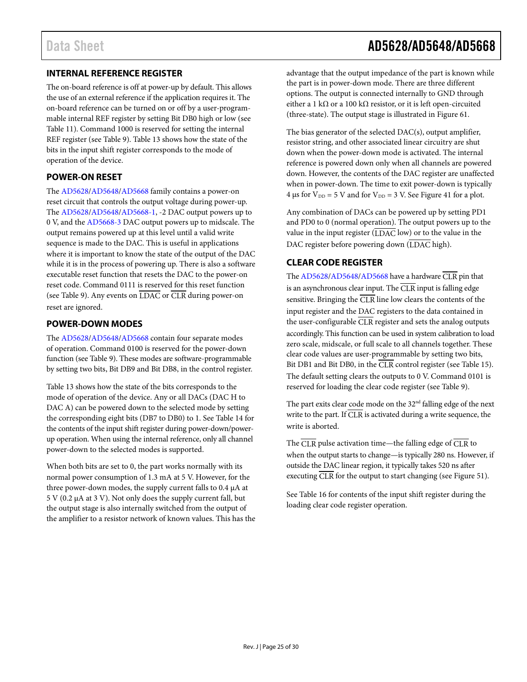### <span id="page-24-0"></span>**INTERNAL REFERENCE REGISTER**

The on-board reference is off at power-up by default. This allows the use of an external reference if the application requires it. The on-board reference can be turned on or off by a user-programmable internal REF register by setting Bit DB0 high or low (see [Table 11\)](#page-25-0). Command 1000 is reserved for setting the internal REF register (see [Table 9\)](#page-22-2)[. Table 13](#page-25-1) shows how the state of the bits in the input shift register corresponds to the mode of operation of the device.

### <span id="page-24-1"></span>**POWER-ON RESET**

The [AD5628](http://www.analog.com/AD5628?doc=AD5628_5648_5668.pdf)[/AD5648/](http://www.analog.com/AD5648?doc=AD5628_5648_5668.pdf)[AD5668](http://www.analog.com/AD5668?doc=AD5628_5648_5668.pdf) family contains a power-on reset circuit that controls the output voltage during power-up. The [AD5628](http://www.analog.com/AD5628?doc=AD5628_5648_5668.pdf)[/AD5648/](http://www.analog.com/AD5648?doc=AD5628_5648_5668.pdf)[AD5668-1,](http://www.analog.com/AD5668?doc=AD5628_5648_5668.pdf) -2 DAC output powers up to 0 V, and the [AD5668-3](http://www.analog.com/AD5668?doc=AD5628_5648_5668.pdf) DAC output powers up to midscale. The output remains powered up at this level until a valid write sequence is made to the DAC. This is useful in applications where it is important to know the state of the output of the DAC while it is in the process of powering up. There is also a software executable reset function that resets the DAC to the power-on reset code. Command 0111 is reserved for this reset function (see [Table 9\)](#page-22-2). Any events on LDAC or CLR during power-on reset are ignored.

### <span id="page-24-2"></span>**POWER-DOWN MODES**

The [AD5628](http://www.analog.com/AD5628?doc=AD5628_5648_5668.pdf)[/AD5648/](http://www.analog.com/AD5648?doc=AD5628_5648_5668.pdf)[AD5668](http://www.analog.com/AD5668?doc=AD5628_5648_5668.pdf) contain four separate modes of operation. Command 0100 is reserved for the power-down function (se[e Table 9\)](#page-22-2). These modes are software-programmable by setting two bits, Bit DB9 and Bit DB8, in the control register.

[Table 13](#page-25-1) shows how the state of the bits corresponds to the mode of operation of the device. Any or all DACs (DAC H to DAC A) can be powered down to the selected mode by setting the corresponding eight bits (DB7 to DB0) to 1. See [Table 14](#page-25-2) for the contents of the input shift register during power-down/powerup operation. When using the internal reference, only all channel power-down to the selected modes is supported.

When both bits are set to 0, the part works normally with its normal power consumption of 1.3 mA at 5 V. However, for the three power-down modes, the supply current falls to 0.4 µA at 5 V (0.2 µA at 3 V). Not only does the supply current fall, but the output stage is also internally switched from the output of the amplifier to a resistor network of known values. This has the advantage that the output impedance of the part is known while the part is in power-down mode. There are three different options. The output is connected internally to GND through either a 1 kΩ or a 100 kΩ resistor, or it is left open-circuited (three-state). The output stage is illustrated in [Figure 61.](#page-25-3)

The bias generator of the selected DAC(s), output amplifier, resistor string, and other associated linear circuitry are shut down when the power-down mode is activated. The internal reference is powered down only when all channels are powered down. However, the contents of the DAC register are unaffected when in power-down. The time to exit power-down is typically 4 µs for  $V_{DD} = 5$  V and for  $V_{DD} = 3$  V. See [Figure 41](#page-16-1) for a plot.

Any combination of DACs can be powered up by setting PD1 and PD0 to 0 (normal operation). The output powers up to the value in the input register  $(\overline{\text{LDAC}}$  low) or to the value in the DAC register before powering down (LDAC high).

### <span id="page-24-3"></span>**CLEAR CODE REGISTER**

Th[e AD5628/](http://www.analog.com/AD5628?doc=AD5628_5648_5668.pdf)[AD5648](http://www.analog.com/AD5648?doc=AD5628_5648_5668.pdf)[/AD5668](http://www.analog.com/AD5668?doc=AD5628_5648_5668.pdf) have a hardware CLR pin that is an asynchronous clear input. The  $\overline{\text{CLR}}$  input is falling edge sensitive. Bringing the  $\overline{CLR}$  line low clears the contents of the input register and the DAC registers to the data contained in the user-configurable CLR register and sets the analog outputs accordingly. This function can be used in system calibration to load zero scale, midscale, or full scale to all channels together. These clear code values are user-programmable by setting two bits, Bit DB1 and Bit DB0, in the CLR control register (se[e Table 15\)](#page-25-4). The default setting clears the outputs to 0 V. Command 0101 is reserved for loading the clear code register (see [Table 9\)](#page-22-2).

The part exits clear code mode on the 32<sup>nd</sup> falling edge of the next write to the part. If  $\overline{\text{CLR}}$  is activated during a write sequence, the write is aborted.

The  $\overline{\text{CLR}}$  pulse activation time—the falling edge of  $\overline{\text{CLR}}$  to when the output starts to change—is typically 280 ns. However, if outside the DAC linear region, it typically takes 520 ns after executing  $\overline{CLR}$  for the output to start changing (se[e Figure 51\)](#page-18-0).

See [Table 16](#page-25-5) for contents of the input shift register during the loading clear code register operation.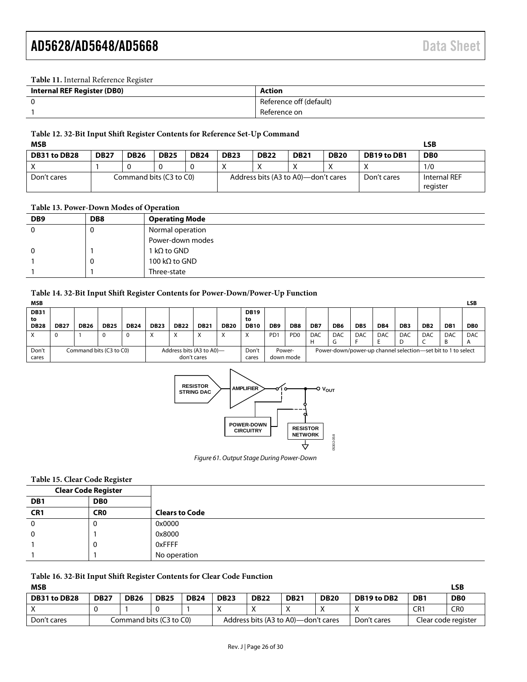#### <span id="page-25-0"></span>**Table 11.** Internal Reference Register

| <b>Internal REF Register (DB0)</b> | Action                  |
|------------------------------------|-------------------------|
|                                    | Reference off (default) |
|                                    | Reference on            |

#### **Table 12. 32-Bit Input Shift Register Contents for Reference Set-Up Command**

| <b>MSB</b>   |             |             |                         |             |             |             |                                     |             |             | LSB                         |
|--------------|-------------|-------------|-------------------------|-------------|-------------|-------------|-------------------------------------|-------------|-------------|-----------------------------|
| DB31 to DB28 | <b>DB27</b> | <b>DB26</b> | <b>DB25</b>             | <b>DB24</b> | <b>DB23</b> | <b>DB22</b> | <b>DB21</b>                         | <b>DB20</b> | DB19 to DB1 | D <sub>B</sub> <sub>0</sub> |
|              |             |             |                         |             | ⋏           |             |                                     |             |             | 1/0                         |
| Don't cares  |             |             | Command bits (C3 to C0) |             |             |             | Address bits (A3 to A0)—don't cares |             | Don't cares | Internal REF<br>register    |

#### <span id="page-25-1"></span>**Table 13. Power-Down Modes of Operation**

| DB <sub>9</sub> | DB <sub>8</sub> | <b>Operating Mode</b> |
|-----------------|-----------------|-----------------------|
| 0               | υ               | Normal operation      |
|                 |                 | Power-down modes      |
| 0               |                 | 1 k $\Omega$ to GND   |
|                 | υ               | 100 kΩ to GND         |
|                 |                 | Three-state           |

#### <span id="page-25-2"></span>**Table 14. 32-Bit Input Shift Register Contents for Power-Down/Power-Up Function**

| <b>MSB</b>                       |             |             |                         |             |             |                                         |                           |             |                                  |                     |                             |                 |                 |                 |                 |                                                              |                 |                 | LSB             |
|----------------------------------|-------------|-------------|-------------------------|-------------|-------------|-----------------------------------------|---------------------------|-------------|----------------------------------|---------------------|-----------------------------|-----------------|-----------------|-----------------|-----------------|--------------------------------------------------------------|-----------------|-----------------|-----------------|
| <b>DB31</b><br>to<br><b>DB28</b> | <b>DB27</b> | <b>DB26</b> | <b>DB25</b>             | <b>DB24</b> | <b>DB23</b> | <b>DB22</b>                             | <b>DB21</b>               | <b>DB20</b> | <b>DB19</b><br>to<br><b>DB10</b> | DB <sub>9</sub>     | DB8                         | DB7             | DB6             | DB <sub>5</sub> | DB <sub>4</sub> | DB <sub>3</sub>                                              | DB <sub>2</sub> | DB <sub>1</sub> | DB <sub>0</sub> |
|                                  | 0           |             | 0                       | - 0         | x           |                                         | $\checkmark$<br>$\lambda$ | ◠           | $\checkmark$<br>$\lambda$        | P <sub>D</sub> 1    | P <sub>D</sub> <sub>0</sub> | <b>DAC</b><br>Н | <b>DAC</b><br>G | <b>DAC</b>      | <b>DAC</b>      | <b>DAC</b>                                                   | <b>DAC</b>      | <b>DAC</b><br>B | <b>DAC</b><br>A |
| Don't<br>cares                   |             |             | Command bits (C3 to C0) |             |             | Address bits (A3 to A0)-<br>don't cares |                           |             | Don't<br>cares                   | Power-<br>down mode |                             |                 |                 |                 |                 | Power-down/power-up channel selection—set bit to 1 to select |                 |                 |                 |



*Figure 61. Output Stage During Power-Down*

#### <span id="page-25-4"></span><span id="page-25-3"></span>**Table 15. Clear Code Register**

|                 | ັ<br><b>Clear Code Register</b> |                       |
|-----------------|---------------------------------|-----------------------|
| DB <sub>1</sub> | DB <sub>0</sub>                 |                       |
| CR <sub>1</sub> | <b>CRO</b>                      | <b>Clears to Code</b> |
| 0               | ν                               | 0x0000                |
| 0               |                                 | 0x8000                |
|                 | U                               | <b>OxFFFF</b>         |
|                 |                                 | No operation          |

<span id="page-25-5"></span>**Table 16. 32-Bit Input Shift Register Contents for Clear Code Function**

| <b>MSB</b>   |             |             |                         |             |             |                                     |             |             |             |                 | LSB                 |
|--------------|-------------|-------------|-------------------------|-------------|-------------|-------------------------------------|-------------|-------------|-------------|-----------------|---------------------|
| DB31 to DB28 | <b>DB27</b> | <b>DB26</b> | <b>DB25</b>             | <b>DB24</b> | <b>DB23</b> | <b>DB22</b>                         | <b>DB21</b> | <b>DB20</b> | DB19 to DB2 | DB <sub>1</sub> | <b>DB0</b>          |
|              |             |             |                         |             |             |                                     |             |             |             | CR1             | CR0                 |
| Don't cares  |             |             | Command bits (C3 to C0) |             |             | Address bits (A3 to A0)—don't cares |             |             | Don't cares |                 | Clear code register |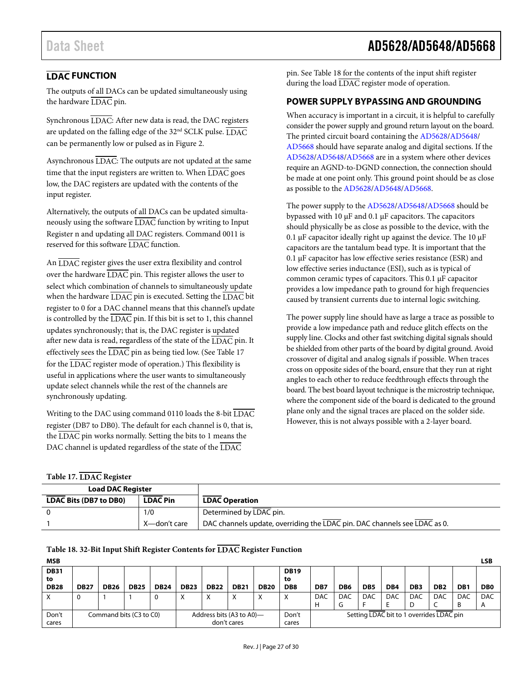### <span id="page-26-0"></span>**LDAC FUNCTION**

The outputs of all DACs can be updated simultaneously using the hardware LDAC pin.

Synchronous LDAC: After new data is read, the DAC registers are updated on the falling edge of the  $32<sup>nd</sup>$  SCLK pulse. LDAC can be permanently low or pulsed as in [Figure 2.](#page-7-1)

Asynchronous LDAC: The outputs are not updated at the same time that the input registers are written to. When  $\overline{\text{LDAC}}$  goes low, the DAC registers are updated with the contents of the input register.

Alternatively, the outputs of all DACs can be updated simultaneously using the software  $\overline{\text{LDAC}}$  function by writing to Input Register n and updating all DAC registers. Command 0011 is reserved for this software LDAC function.

An LDAC register gives the user extra flexibility and control over the hardware  $\overline{\text{LDAC}}$  pin. This register allows the user to select which combination of channels to simultaneously update when the hardware LDAC pin is executed. Setting the LDAC bit register to 0 for a DAC channel means that this channel's update is controlled by the  $\overline{\text{LDAC}}$  pin. If this bit is set to 1, this channel updates synchronously; that is, the DAC register is updated after new data is read, regardless of the state of the LDAC pin. It effectively sees the LDAC pin as being tied low. (Se[e Table 17](#page-26-2) for the LDAC register mode of operation.) This flexibility is useful in applications where the user wants to simultaneously update select channels while the rest of the channels are synchronously updating.

Writing to the DAC using command 0110 loads the 8-bit LDAC register (DB7 to DB0). The default for each channel is 0, that is, the LDAC pin works normally. Setting the bits to 1 means the DAC channel is updated regardless of the state of the  $\overline{\text{LDAC}}$ 

pin. See [Table 18](#page-26-3) for the contents of the input shift register during the load LDAC register mode of operation.

### <span id="page-26-1"></span>**POWER SUPPLY BYPASSING AND GROUNDING**

When accuracy is important in a circuit, it is helpful to carefully consider the power supply and ground return layout on the board. The printed circuit board containing the [AD5628](http://www.analog.com/AD5628?doc=AD5628_5648_5668.pdf)[/AD5648/](http://www.analog.com/AD5648?doc=AD5628_5648_5668.pdf) [AD5668](http://www.analog.com/AD5668?doc=AD5628_5648_5668.pdf) should have separate analog and digital sections. If the [AD5628/](http://www.analog.com/AD5628?doc=AD5628_5648_5668.pdf)[AD5648/](http://www.analog.com/AD5648?doc=AD5628_5648_5668.pdf)[AD5668](http://www.analog.com/AD5668?doc=AD5628_5648_5668.pdf) are in a system where other devices require an AGND-to-DGND connection, the connection should be made at one point only. This ground point should be as close as possible to th[e AD5628/](http://www.analog.com/AD5628?doc=AD5628_5648_5668.pdf)[AD5648](http://www.analog.com/AD5648?doc=AD5628_5648_5668.pdf)[/AD5668.](http://www.analog.com/AD5668?doc=AD5628_5648_5668.pdf)

The power supply to the [AD5628/](http://www.analog.com/AD5628?doc=AD5628_5648_5668.pdf)[AD5648/](http://www.analog.com/AD5648?doc=AD5628_5648_5668.pdf)[AD5668](http://www.analog.com/AD5668?doc=AD5628_5648_5668.pdf) should be bypassed with 10 µF and 0.1 µF capacitors. The capacitors should physically be as close as possible to the device, with the 0.1  $\mu$ F capacitor ideally right up against the device. The 10  $\mu$ F capacitors are the tantalum bead type. It is important that the 0.1 µF capacitor has low effective series resistance (ESR) and low effective series inductance (ESI), such as is typical of common ceramic types of capacitors. This 0.1 µF capacitor provides a low impedance path to ground for high frequencies caused by transient currents due to internal logic switching.

The power supply line should have as large a trace as possible to provide a low impedance path and reduce glitch effects on the supply line. Clocks and other fast switching digital signals should be shielded from other parts of the board by digital ground. Avoid crossover of digital and analog signals if possible. When traces cross on opposite sides of the board, ensure that they run at right angles to each other to reduce feedthrough effects through the board. The best board layout technique is the microstrip technique, where the component side of the board is dedicated to the ground plane only and the signal traces are placed on the solder side. However, this is not always possible with a 2-layer board.

#### <span id="page-26-2"></span>**Table 17. LDAC Register**

| <b>Load DAC Register</b>      |                 |                                                                           |
|-------------------------------|-----------------|---------------------------------------------------------------------------|
| <b>LDAC Bits (DB7 to DB0)</b> | <b>LDAC Pin</b> | <b>LDAC Operation</b>                                                     |
|                               | 1/0             | Determined by LDAC pin.                                                   |
|                               | X—don't care    | DAC channels update, overriding the LDAC pin. DAC channels see LDAC as 0. |

<span id="page-26-3"></span>**Table 18. 32-Bit Input Shift Register Contents for LDAC Register Function MSB LSB**

| .           |                                                     |             |             |             |             |             |             |             |                 |            |                                          |                 |            |                 |                 |                 | ---            |
|-------------|-----------------------------------------------------|-------------|-------------|-------------|-------------|-------------|-------------|-------------|-----------------|------------|------------------------------------------|-----------------|------------|-----------------|-----------------|-----------------|----------------|
| <b>DB31</b> |                                                     |             |             |             |             |             |             |             | <b>DB19</b>     |            |                                          |                 |            |                 |                 |                 |                |
| to          |                                                     |             |             |             |             |             |             |             | to              |            |                                          |                 |            |                 |                 |                 |                |
| <b>DB28</b> | <b>DB27</b>                                         | <b>DB26</b> | <b>DB25</b> | <b>DB24</b> | <b>DB23</b> | <b>DB22</b> | <b>DB21</b> | <b>DB20</b> | DB <sub>8</sub> | DB7        | DB <sub>6</sub>                          | DB <sub>5</sub> | DB4        | DB <sub>3</sub> | DB <sub>2</sub> | DB <sub>1</sub> | D <sub>B</sub> |
| X           |                                                     |             |             | C           | $\lambda$   |             |             |             |                 | <b>DAC</b> | <b>DAC</b>                               | <b>DAC</b>      | <b>DAC</b> | DAC             | <b>DAC</b>      | <b>DAC</b>      | <b>DAC</b>     |
|             |                                                     |             |             |             |             |             |             |             |                 |            | u                                        |                 |            | ◡               |                 | B               | A              |
| Don't       | Command bits (C3 to C0)<br>Address bits (A3 to A0)- |             |             |             |             | Don't       |             |             |                 |            | Setting LDAC bit to 1 overrides LDAC pin |                 |            |                 |                 |                 |                |
| cares       |                                                     |             |             |             |             |             | don't cares |             | cares           |            |                                          |                 |            |                 |                 |                 |                |
|             |                                                     |             |             |             |             |             |             |             |                 |            |                                          |                 |            |                 |                 |                 |                |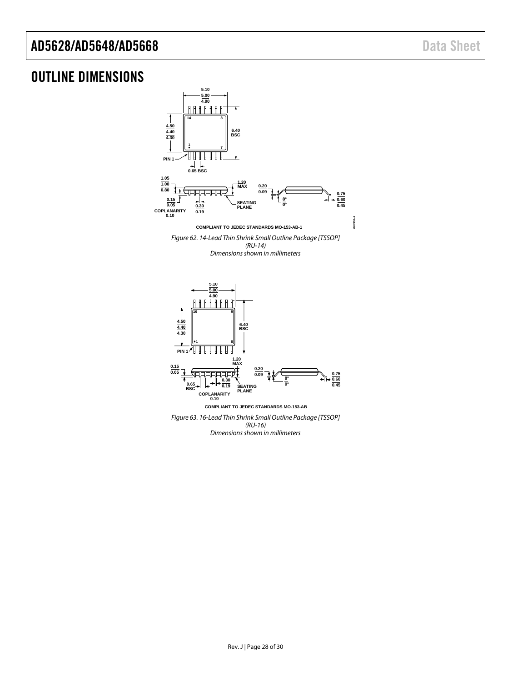# <span id="page-27-0"></span>OUTLINE DIMENSIONS



*Dimensions shown in millimeters*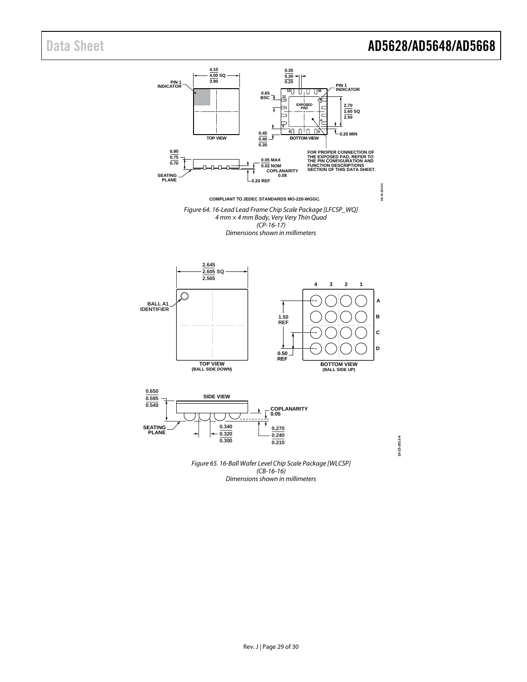**10-23-2012-A**

10-23-2012-A



*(CB-16-16) Dimensions shown in millimeters*